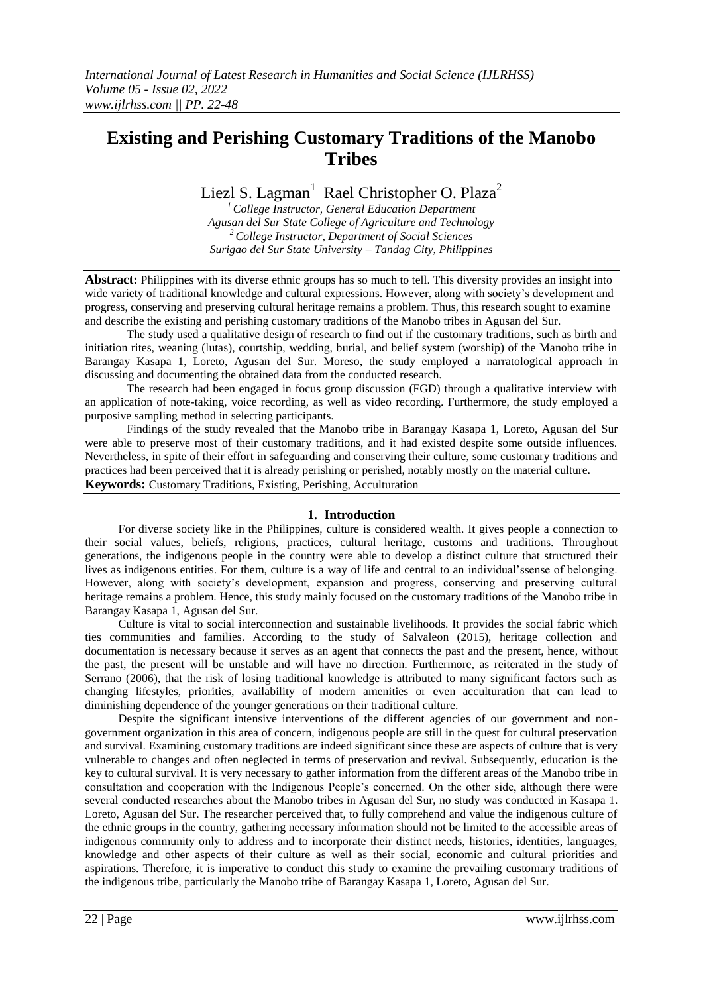# **Existing and Perishing Customary Traditions of the Manobo Tribes**

Liezl S. Lagman<sup>1</sup> Rael Christopher O. Plaza<sup>2</sup>

*<sup>1</sup>College Instructor, General Education Department Agusan del Sur State College of Agriculture and Technology <sup>2</sup>College Instructor, Department of Social Sciences Surigao del Sur State University – Tandag City, Philippines*

**Abstract:** Philippines with its diverse ethnic groups has so much to tell. This diversity provides an insight into wide variety of traditional knowledge and cultural expressions. However, along with society's development and progress, conserving and preserving cultural heritage remains a problem. Thus, this research sought to examine and describe the existing and perishing customary traditions of the Manobo tribes in Agusan del Sur.

The study used a qualitative design of research to find out if the customary traditions, such as birth and initiation rites, weaning (lutas), courtship, wedding, burial, and belief system (worship) of the Manobo tribe in Barangay Kasapa 1, Loreto, Agusan del Sur. Moreso, the study employed a narratological approach in discussing and documenting the obtained data from the conducted research.

The research had been engaged in focus group discussion (FGD) through a qualitative interview with an application of note-taking, voice recording, as well as video recording. Furthermore, the study employed a purposive sampling method in selecting participants.

Findings of the study revealed that the Manobo tribe in Barangay Kasapa 1, Loreto, Agusan del Sur were able to preserve most of their customary traditions, and it had existed despite some outside influences. Nevertheless, in spite of their effort in safeguarding and conserving their culture, some customary traditions and practices had been perceived that it is already perishing or perished, notably mostly on the material culture. **Keywords:** Customary Traditions, Existing, Perishing, Acculturation

### **1. Introduction**

For diverse society like in the Philippines, culture is considered wealth. It gives people a connection to their social values, beliefs, religions, practices, cultural heritage, customs and traditions. Throughout generations, the indigenous people in the country were able to develop a distinct culture that structured their lives as indigenous entities. For them, culture is a way of life and central to an individual'ssense of belonging. However, along with society's development, expansion and progress, conserving and preserving cultural heritage remains a problem. Hence, this study mainly focused on the customary traditions of the Manobo tribe in Barangay Kasapa 1, Agusan del Sur.

Culture is vital to social interconnection and sustainable livelihoods. It provides the social fabric which ties communities and families. According to the study of Salvaleon (2015), heritage collection and documentation is necessary because it serves as an agent that connects the past and the present, hence, without the past, the present will be unstable and will have no direction. Furthermore, as reiterated in the study of Serrano (2006), that the risk of losing traditional knowledge is attributed to many significant factors such as changing lifestyles, priorities, availability of modern amenities or even acculturation that can lead to diminishing dependence of the younger generations on their traditional culture.

Despite the significant intensive interventions of the different agencies of our government and nongovernment organization in this area of concern, indigenous people are still in the quest for cultural preservation and survival. Examining customary traditions are indeed significant since these are aspects of culture that is very vulnerable to changes and often neglected in terms of preservation and revival. Subsequently, education is the key to cultural survival. It is very necessary to gather information from the different areas of the Manobo tribe in consultation and cooperation with the Indigenous People's concerned. On the other side, although there were several conducted researches about the Manobo tribes in Agusan del Sur, no study was conducted in Kasapa 1. Loreto, Agusan del Sur. The researcher perceived that, to fully comprehend and value the indigenous culture of the ethnic groups in the country, gathering necessary information should not be limited to the accessible areas of indigenous community only to address and to incorporate their distinct needs, histories, identities, languages, knowledge and other aspects of their culture as well as their social, economic and cultural priorities and aspirations. Therefore, it is imperative to conduct this study to examine the prevailing customary traditions of the indigenous tribe, particularly the Manobo tribe of Barangay Kasapa 1, Loreto, Agusan del Sur.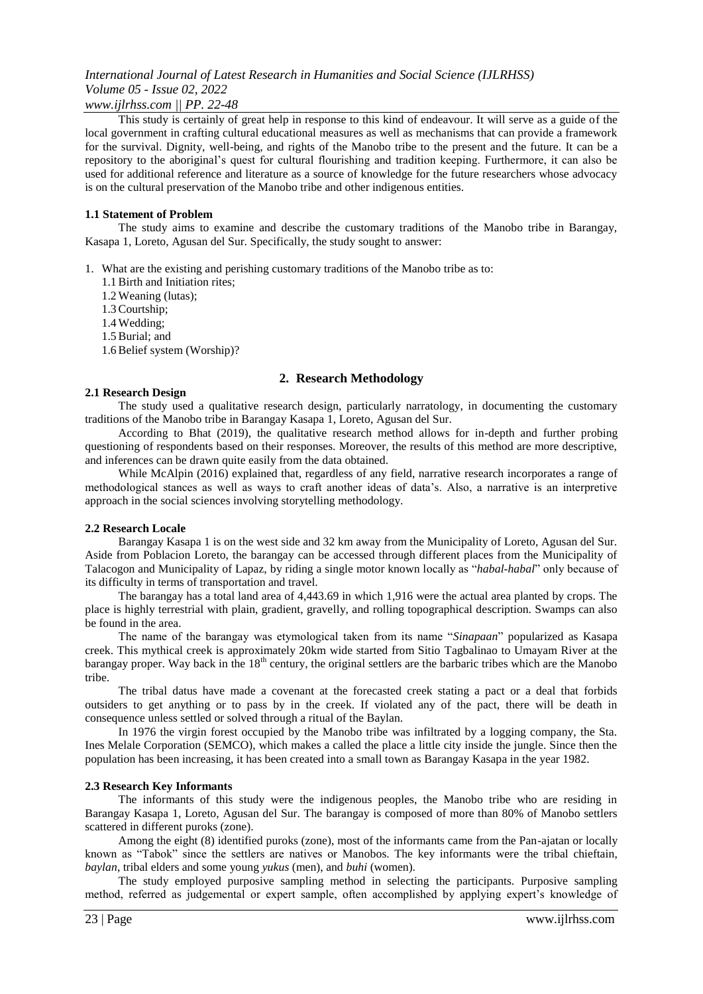### *www.ijlrhss.com || PP. 22-48*

This study is certainly of great help in response to this kind of endeavour. It will serve as a guide of the local government in crafting cultural educational measures as well as mechanisms that can provide a framework for the survival. Dignity, well-being, and rights of the Manobo tribe to the present and the future. It can be a repository to the aboriginal's quest for cultural flourishing and tradition keeping. Furthermore, it can also be used for additional reference and literature as a source of knowledge for the future researchers whose advocacy is on the cultural preservation of the Manobo tribe and other indigenous entities.

#### **1.1 Statement of Problem**

The study aims to examine and describe the customary traditions of the Manobo tribe in Barangay, Kasapa 1, Loreto, Agusan del Sur. Specifically, the study sought to answer:

- 1. What are the existing and perishing customary traditions of the Manobo tribe as to:
	- 1.1Birth and Initiation rites;
	- 1.2 Weaning (lutas);
	- 1.3Courtship;
	- 1.4 Wedding;
	- 1.5Burial; and
	- 1.6Belief system (Worship)?

### **2. Research Methodology**

#### **2.1 Research Design**

The study used a qualitative research design, particularly narratology, in documenting the customary traditions of the Manobo tribe in Barangay Kasapa 1, Loreto, Agusan del Sur.

According to Bhat (2019), the qualitative research method allows for in-depth and further probing questioning of respondents based on their responses. Moreover, the results of this method are more descriptive, and inferences can be drawn quite easily from the data obtained.

While McAlpin (2016) explained that, regardless of any field, narrative research incorporates a range of methodological stances as well as ways to craft another ideas of data's. Also, a narrative is an interpretive approach in the social sciences involving storytelling methodology.

#### **2.2 Research Locale**

Barangay Kasapa 1 is on the west side and 32 km away from the Municipality of Loreto, Agusan del Sur. Aside from Poblacion Loreto, the barangay can be accessed through different places from the Municipality of Talacogon and Municipality of Lapaz, by riding a single motor known locally as "*habal-habal*" only because of its difficulty in terms of transportation and travel.

The barangay has a total land area of 4,443.69 in which 1,916 were the actual area planted by crops. The place is highly terrestrial with plain, gradient, gravelly, and rolling topographical description. Swamps can also be found in the area.

The name of the barangay was etymological taken from its name "*Sinapaan*" popularized as Kasapa creek. This mythical creek is approximately 20km wide started from Sitio Tagbalinao to Umayam River at the barangay proper. Way back in the  $18<sup>th</sup>$  century, the original settlers are the barbaric tribes which are the Manobo tribe.

The tribal datus have made a covenant at the forecasted creek stating a pact or a deal that forbids outsiders to get anything or to pass by in the creek. If violated any of the pact, there will be death in consequence unless settled or solved through a ritual of the Baylan.

In 1976 the virgin forest occupied by the Manobo tribe was infiltrated by a logging company, the Sta. Ines Melale Corporation (SEMCO), which makes a called the place a little city inside the jungle. Since then the population has been increasing, it has been created into a small town as Barangay Kasapa in the year 1982.

#### **2.3 Research Key Informants**

The informants of this study were the indigenous peoples, the Manobo tribe who are residing in Barangay Kasapa 1, Loreto, Agusan del Sur. The barangay is composed of more than 80% of Manobo settlers scattered in different puroks (zone).

Among the eight (8) identified puroks (zone), most of the informants came from the Pan-ajatan or locally known as "Tabok" since the settlers are natives or Manobos. The key informants were the tribal chieftain, *baylan*, tribal elders and some young *yukus* (men), and *buhi* (women).

The study employed purposive sampling method in selecting the participants. Purposive sampling method, referred as judgemental or expert sample, often accomplished by applying expert's knowledge of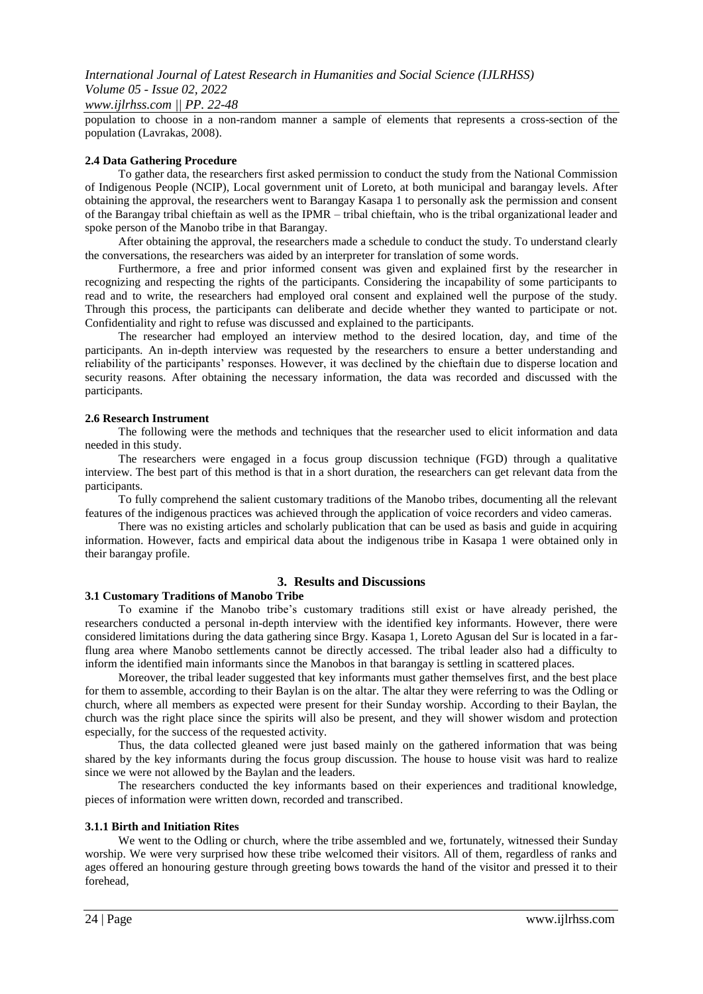### *International Journal of Latest Research in Humanities and Social Science (IJLRHSS) Volume 05 - Issue 02, 2022 www.ijlrhss.com || PP. 22-48*

population to choose in a non-random manner a sample of elements that represents a cross-section of the population (Lavrakas, 2008).

### **2.4 Data Gathering Procedure**

To gather data, the researchers first asked permission to conduct the study from the National Commission of Indigenous People (NCIP), Local government unit of Loreto, at both municipal and barangay levels. After obtaining the approval, the researchers went to Barangay Kasapa 1 to personally ask the permission and consent of the Barangay tribal chieftain as well as the IPMR – tribal chieftain, who is the tribal organizational leader and spoke person of the Manobo tribe in that Barangay.

After obtaining the approval, the researchers made a schedule to conduct the study. To understand clearly the conversations, the researchers was aided by an interpreter for translation of some words.

Furthermore, a free and prior informed consent was given and explained first by the researcher in recognizing and respecting the rights of the participants. Considering the incapability of some participants to read and to write, the researchers had employed oral consent and explained well the purpose of the study. Through this process, the participants can deliberate and decide whether they wanted to participate or not. Confidentiality and right to refuse was discussed and explained to the participants.

The researcher had employed an interview method to the desired location, day, and time of the participants. An in-depth interview was requested by the researchers to ensure a better understanding and reliability of the participants' responses. However, it was declined by the chieftain due to disperse location and security reasons. After obtaining the necessary information, the data was recorded and discussed with the participants.

#### **2.6 Research Instrument**

The following were the methods and techniques that the researcher used to elicit information and data needed in this study.

The researchers were engaged in a focus group discussion technique (FGD) through a qualitative interview. The best part of this method is that in a short duration, the researchers can get relevant data from the participants.

To fully comprehend the salient customary traditions of the Manobo tribes, documenting all the relevant features of the indigenous practices was achieved through the application of voice recorders and video cameras.

There was no existing articles and scholarly publication that can be used as basis and guide in acquiring information. However, facts and empirical data about the indigenous tribe in Kasapa 1 were obtained only in their barangay profile.

### **3. Results and Discussions**

### **3.1 Customary Traditions of Manobo Tribe**

To examine if the Manobo tribe's customary traditions still exist or have already perished, the researchers conducted a personal in-depth interview with the identified key informants. However, there were considered limitations during the data gathering since Brgy. Kasapa 1, Loreto Agusan del Sur is located in a farflung area where Manobo settlements cannot be directly accessed. The tribal leader also had a difficulty to inform the identified main informants since the Manobos in that barangay is settling in scattered places.

Moreover, the tribal leader suggested that key informants must gather themselves first, and the best place for them to assemble, according to their Baylan is on the altar. The altar they were referring to was the Odling or church, where all members as expected were present for their Sunday worship. According to their Baylan, the church was the right place since the spirits will also be present, and they will shower wisdom and protection especially, for the success of the requested activity.

Thus, the data collected gleaned were just based mainly on the gathered information that was being shared by the key informants during the focus group discussion. The house to house visit was hard to realize since we were not allowed by the Baylan and the leaders.

The researchers conducted the key informants based on their experiences and traditional knowledge, pieces of information were written down, recorded and transcribed.

#### **3.1.1 Birth and Initiation Rites**

We went to the Odling or church, where the tribe assembled and we, fortunately, witnessed their Sunday worship. We were very surprised how these tribe welcomed their visitors. All of them, regardless of ranks and ages offered an honouring gesture through greeting bows towards the hand of the visitor and pressed it to their forehead,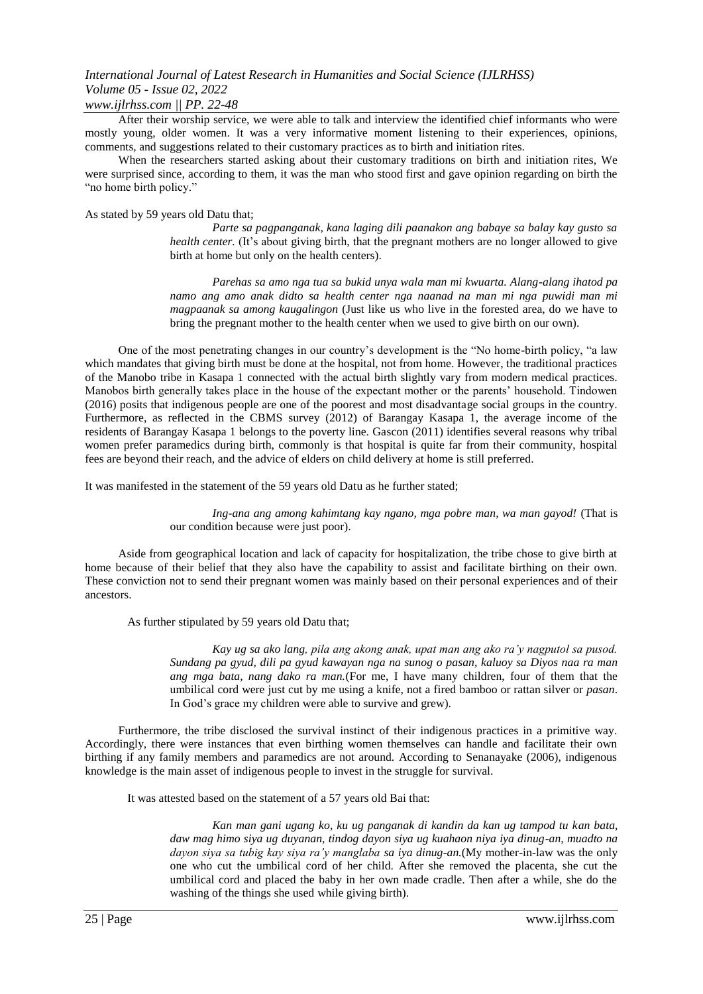### *www.ijlrhss.com || PP. 22-48*

After their worship service, we were able to talk and interview the identified chief informants who were mostly young, older women. It was a very informative moment listening to their experiences, opinions, comments, and suggestions related to their customary practices as to birth and initiation rites.

When the researchers started asking about their customary traditions on birth and initiation rites, We were surprised since, according to them, it was the man who stood first and gave opinion regarding on birth the "no home birth policy."

As stated by 59 years old Datu that;

*Parte sa pagpanganak, kana laging dili paanakon ang babaye sa balay kay gusto sa health center.* (It's about giving birth, that the pregnant mothers are no longer allowed to give birth at home but only on the health centers).

*Parehas sa amo nga tua sa bukid unya wala man mi kwuarta. Alang-alang ihatod pa namo ang amo anak didto sa health center nga naanad na man mi nga puwidi man mi magpaanak sa among kaugalingon* (Just like us who live in the forested area, do we have to bring the pregnant mother to the health center when we used to give birth on our own).

One of the most penetrating changes in our country's development is the "No home-birth policy, "a law which mandates that giving birth must be done at the hospital, not from home. However, the traditional practices of the Manobo tribe in Kasapa 1 connected with the actual birth slightly vary from modern medical practices. Manobos birth generally takes place in the house of the expectant mother or the parents' household. Tindowen (2016) posits that indigenous people are one of the poorest and most disadvantage social groups in the country. Furthermore, as reflected in the CBMS survey (2012) of Barangay Kasapa 1, the average income of the residents of Barangay Kasapa 1 belongs to the poverty line. Gascon (2011) identifies several reasons why tribal women prefer paramedics during birth, commonly is that hospital is quite far from their community, hospital fees are beyond their reach, and the advice of elders on child delivery at home is still preferred.

It was manifested in the statement of the 59 years old Datu as he further stated;

*Ing-ana ang among kahimtang kay ngano, mga pobre man, wa man gayod!* (That is our condition because were just poor).

Aside from geographical location and lack of capacity for hospitalization, the tribe chose to give birth at home because of their belief that they also have the capability to assist and facilitate birthing on their own. These conviction not to send their pregnant women was mainly based on their personal experiences and of their ancestors.

As further stipulated by 59 years old Datu that;

*Kay ug sa ako lang, pila ang akong anak, upat man ang ako ra'y nagputol sa pusod. Sundang pa gyud, dili pa gyud kawayan nga na sunog o pasan, kaluoy sa Diyos naa ra man ang mga bata, nang dako ra man.*(For me, I have many children, four of them that the umbilical cord were just cut by me using a knife, not a fired bamboo or rattan silver or *pasan*. In God's grace my children were able to survive and grew).

Furthermore, the tribe disclosed the survival instinct of their indigenous practices in a primitive way. Accordingly, there were instances that even birthing women themselves can handle and facilitate their own birthing if any family members and paramedics are not around. According to Senanayake (2006), indigenous knowledge is the main asset of indigenous people to invest in the struggle for survival.

It was attested based on the statement of a 57 years old Bai that:

*Kan man gani ugang ko, ku ug panganak di kandin da kan ug tampod tu kan bata, daw mag himo siya ug duyanan, tindog dayon siya ug kuahaon niya iya dinug-an, muadto na dayon siya sa tubig kay siya ra'y manglaba sa iya dinug-an.*(My mother-in-law was the only one who cut the umbilical cord of her child. After she removed the placenta, she cut the umbilical cord and placed the baby in her own made cradle. Then after a while, she do the washing of the things she used while giving birth).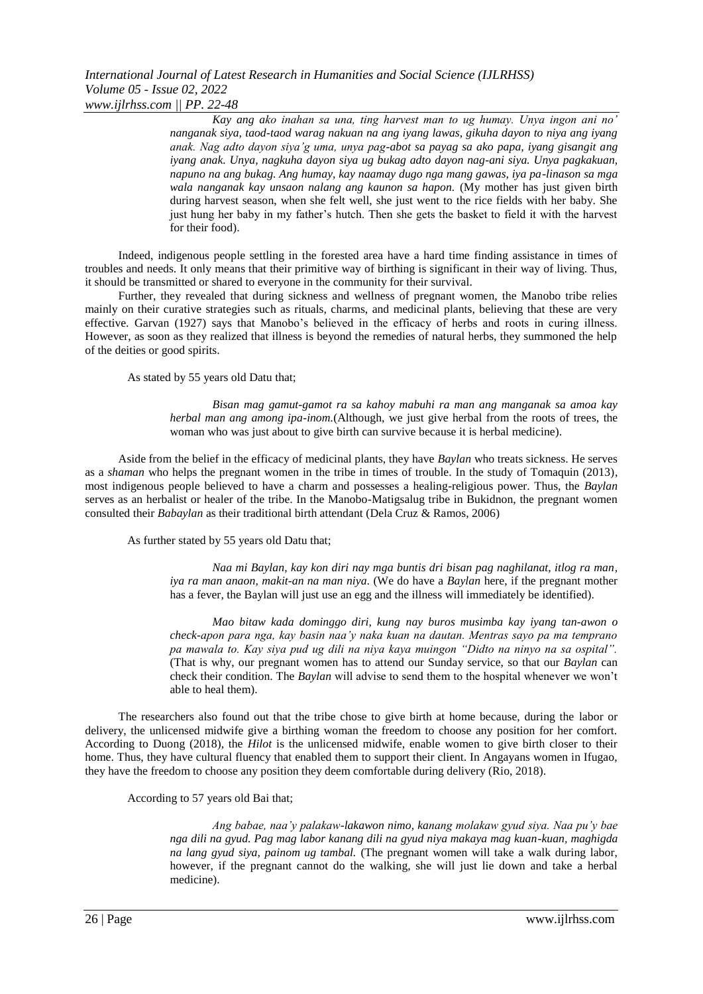*Kay ang ako inahan sa una, ting harvest man to ug humay. Unya ingon ani no' nanganak siya, taod-taod warag nakuan na ang iyang lawas, gikuha dayon to niya ang iyang anak. Nag adto dayon siya'g uma, unya pag-abot sa payag sa ako papa, iyang gisangit ang iyang anak. Unya, nagkuha dayon siya ug bukag adto dayon nag-ani siya. Unya pagkakuan, napuno na ang bukag. Ang humay, kay naamay dugo nga mang gawas, iya pa-linason sa mga wala nanganak kay unsaon nalang ang kaunon sa hapon.* (My mother has just given birth during harvest season, when she felt well, she just went to the rice fields with her baby. She just hung her baby in my father's hutch. Then she gets the basket to field it with the harvest for their food).

Indeed, indigenous people settling in the forested area have a hard time finding assistance in times of troubles and needs. It only means that their primitive way of birthing is significant in their way of living. Thus, it should be transmitted or shared to everyone in the community for their survival.

Further, they revealed that during sickness and wellness of pregnant women, the Manobo tribe relies mainly on their curative strategies such as rituals, charms, and medicinal plants, believing that these are very effective. Garvan (1927) says that Manobo's believed in the efficacy of herbs and roots in curing illness. However, as soon as they realized that illness is beyond the remedies of natural herbs, they summoned the help of the deities or good spirits.

As stated by 55 years old Datu that;

*Bisan mag gamut-gamot ra sa kahoy mabuhi ra man ang manganak sa amoa kay herbal man ang among ipa-inom.*(Although, we just give herbal from the roots of trees, the woman who was just about to give birth can survive because it is herbal medicine).

Aside from the belief in the efficacy of medicinal plants, they have *Baylan* who treats sickness. He serves as a *shaman* who helps the pregnant women in the tribe in times of trouble. In the study of Tomaquin (2013), most indigenous people believed to have a charm and possesses a healing-religious power. Thus, the *Baylan* serves as an herbalist or healer of the tribe. In the Manobo-Matigsalug tribe in Bukidnon, the pregnant women consulted their *Babaylan* as their traditional birth attendant (Dela Cruz & Ramos, 2006)

As further stated by 55 years old Datu that;

*Naa mi Baylan, kay kon diri nay mga buntis dri bisan pag naghilanat, itlog ra man, iya ra man anaon, makit-an na man niya*. (We do have a *Baylan* here, if the pregnant mother has a fever, the Baylan will just use an egg and the illness will immediately be identified).

*Mao bitaw kada dominggo diri, kung nay buros musimba kay iyang tan-awon o check-apon para nga, kay basin naa'y naka kuan na dautan. Mentras sayo pa ma temprano pa mawala to. Kay siya pud ug dili na niya kaya muingon "Didto na ninyo na sa ospital".*  (That is why, our pregnant women has to attend our Sunday service, so that our *Baylan* can check their condition. The *Baylan* will advise to send them to the hospital whenever we won't able to heal them).

The researchers also found out that the tribe chose to give birth at home because, during the labor or delivery, the unlicensed midwife give a birthing woman the freedom to choose any position for her comfort. According to Duong (2018), the *Hilot* is the unlicensed midwife, enable women to give birth closer to their home. Thus, they have cultural fluency that enabled them to support their client. In Angayans women in Ifugao, they have the freedom to choose any position they deem comfortable during delivery (Rio, 2018).

According to 57 years old Bai that;

*Ang babae, naa'y palakaw-lakawon nimo, kanang molakaw gyud siya. Naa pu'y bae nga dili na gyud. Pag mag labor kanang dili na gyud niya makaya mag kuan-kuan, maghigda na lang gyud siya, painom ug tambal.* (The pregnant women will take a walk during labor, however, if the pregnant cannot do the walking, she will just lie down and take a herbal medicine).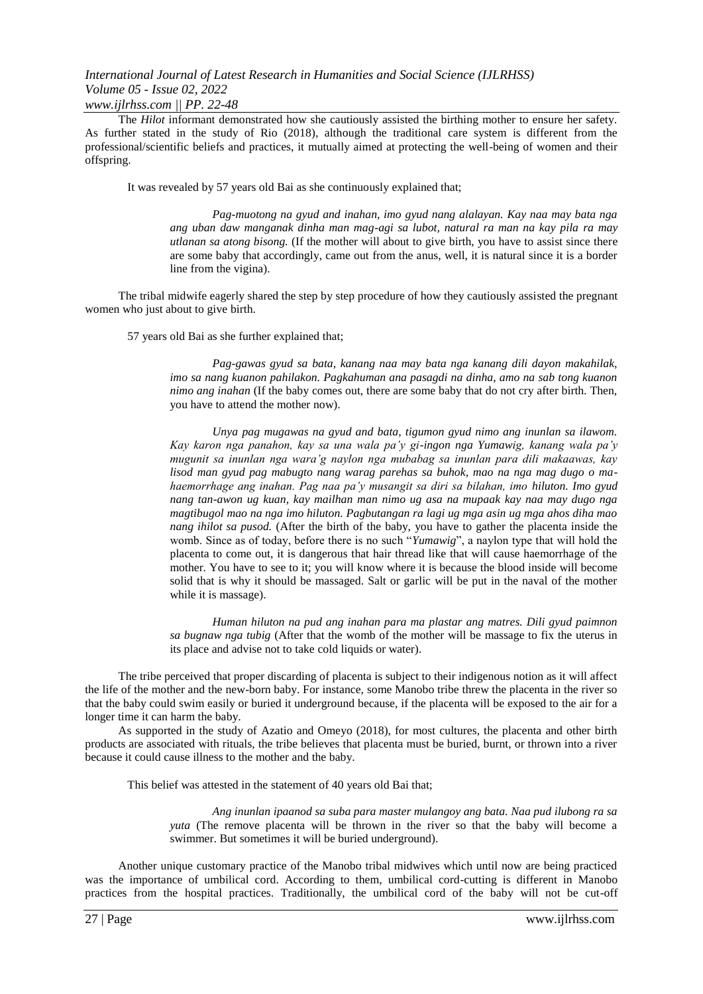### *www.ijlrhss.com || PP. 22-48*

The *Hilot* informant demonstrated how she cautiously assisted the birthing mother to ensure her safety. As further stated in the study of Rio (2018), although the traditional care system is different from the professional/scientific beliefs and practices, it mutually aimed at protecting the well-being of women and their offspring.

It was revealed by 57 years old Bai as she continuously explained that;

*Pag-muotong na gyud and inahan, imo gyud nang alalayan. Kay naa may bata nga ang uban daw manganak dinha man mag-agi sa lubot, natural ra man na kay pila ra may utlanan sa atong bisong.* (If the mother will about to give birth, you have to assist since there are some baby that accordingly, came out from the anus, well, it is natural since it is a border line from the vigina).

The tribal midwife eagerly shared the step by step procedure of how they cautiously assisted the pregnant women who just about to give birth.

57 years old Bai as she further explained that;

*Pag-gawas gyud sa bata, kanang naa may bata nga kanang dili dayon makahilak, imo sa nang kuanon pahilakon. Pagkahuman ana pasagdi na dinha, amo na sab tong kuanon nimo ang inahan* (If the baby comes out, there are some baby that do not cry after birth. Then, you have to attend the mother now).

*Unya pag mugawas na gyud and bata, tigumon gyud nimo ang inunlan sa ilawom. Kay karon nga panahon, kay sa una wala pa'y gi-ingon nga Yumawig, kanang wala pa'y mugunit sa inunlan nga wara'g naylon nga mubabag sa inunlan para dili makaawas, kay lisod man gyud pag mabugto nang warag parehas sa buhok, mao na nga mag dugo o mahaemorrhage ang inahan. Pag naa pa'y musangit sa diri sa bilahan, imo hiluton. Imo gyud nang tan-awon ug kuan, kay mailhan man nimo ug asa na mupaak kay naa may dugo nga magtibugol mao na nga imo hiluton. Pagbutangan ra lagi ug mga asin ug mga ahos diha mao nang ihilot sa pusod.* (After the birth of the baby, you have to gather the placenta inside the womb. Since as of today, before there is no such "*Yumawig*", a naylon type that will hold the placenta to come out, it is dangerous that hair thread like that will cause haemorrhage of the mother. You have to see to it; you will know where it is because the blood inside will become solid that is why it should be massaged. Salt or garlic will be put in the naval of the mother while it is massage).

*Human hiluton na pud ang inahan para ma plastar ang matres. Dili gyud paimnon sa bugnaw nga tubig* (After that the womb of the mother will be massage to fix the uterus in its place and advise not to take cold liquids or water).

The tribe perceived that proper discarding of placenta is subject to their indigenous notion as it will affect the life of the mother and the new-born baby. For instance, some Manobo tribe threw the placenta in the river so that the baby could swim easily or buried it underground because, if the placenta will be exposed to the air for a longer time it can harm the baby.

As supported in the study of Azatio and Omeyo (2018), for most cultures, the placenta and other birth products are associated with rituals, the tribe believes that placenta must be buried, burnt, or thrown into a river because it could cause illness to the mother and the baby.

This belief was attested in the statement of 40 years old Bai that;

*Ang inunlan ipaanod sa suba para master mulangoy ang bata. Naa pud ilubong ra sa yuta* (The remove placenta will be thrown in the river so that the baby will become a swimmer. But sometimes it will be buried underground).

Another unique customary practice of the Manobo tribal midwives which until now are being practiced was the importance of umbilical cord. According to them, umbilical cord-cutting is different in Manobo practices from the hospital practices. Traditionally, the umbilical cord of the baby will not be cut-off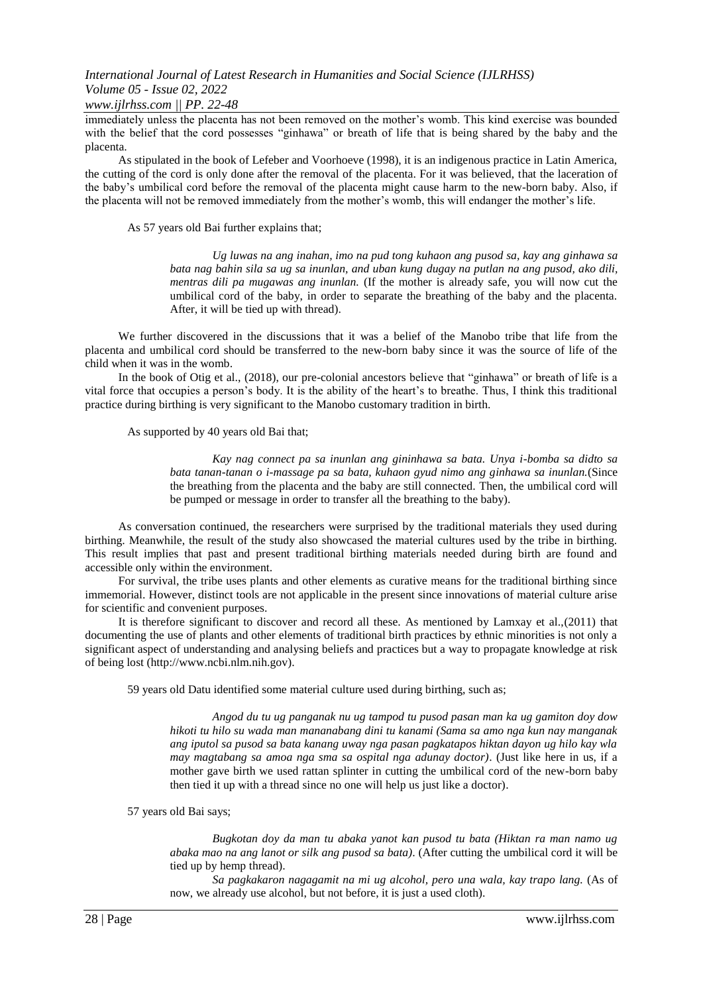### *www.ijlrhss.com || PP. 22-48*

immediately unless the placenta has not been removed on the mother's womb. This kind exercise was bounded with the belief that the cord possesses "ginhawa" or breath of life that is being shared by the baby and the placenta.

As stipulated in the book of Lefeber and Voorhoeve (1998), it is an indigenous practice in Latin America, the cutting of the cord is only done after the removal of the placenta. For it was believed, that the laceration of the baby's umbilical cord before the removal of the placenta might cause harm to the new-born baby. Also, if the placenta will not be removed immediately from the mother's womb, this will endanger the mother's life.

As 57 years old Bai further explains that;

*Ug luwas na ang inahan, imo na pud tong kuhaon ang pusod sa, kay ang ginhawa sa bata nag bahin sila sa ug sa inunlan, and uban kung dugay na putlan na ang pusod, ako dili, mentras dili pa mugawas ang inunlan.* (If the mother is already safe, you will now cut the umbilical cord of the baby, in order to separate the breathing of the baby and the placenta. After, it will be tied up with thread).

We further discovered in the discussions that it was a belief of the Manobo tribe that life from the placenta and umbilical cord should be transferred to the new-born baby since it was the source of life of the child when it was in the womb.

In the book of Otig et al., (2018), our pre-colonial ancestors believe that "ginhawa" or breath of life is a vital force that occupies a person's body. It is the ability of the heart's to breathe. Thus, I think this traditional practice during birthing is very significant to the Manobo customary tradition in birth.

As supported by 40 years old Bai that;

*Kay nag connect pa sa inunlan ang gininhawa sa bata. Unya i-bomba sa didto sa bata tanan-tanan o i-massage pa sa bata, kuhaon gyud nimo ang ginhawa sa inunlan.*(Since the breathing from the placenta and the baby are still connected. Then, the umbilical cord will be pumped or message in order to transfer all the breathing to the baby).

As conversation continued, the researchers were surprised by the traditional materials they used during birthing. Meanwhile, the result of the study also showcased the material cultures used by the tribe in birthing. This result implies that past and present traditional birthing materials needed during birth are found and accessible only within the environment.

For survival, the tribe uses plants and other elements as curative means for the traditional birthing since immemorial. However, distinct tools are not applicable in the present since innovations of material culture arise for scientific and convenient purposes.

It is therefore significant to discover and record all these. As mentioned by Lamxay et al.,(2011) that documenting the use of plants and other elements of traditional birth practices by ethnic minorities is not only a significant aspect of understanding and analysing beliefs and practices but a way to propagate knowledge at risk of being lost [\(http://www.ncbi.nlm.nih.gov\)](http://www.ncbi.nlm.nih.gov/).

59 years old Datu identified some material culture used during birthing, such as;

*Angod du tu ug panganak nu ug tampod tu pusod pasan man ka ug gamiton doy dow hikoti tu hilo su wada man mananabang dini tu kanami (Sama sa amo nga kun nay manganak ang iputol sa pusod sa bata kanang uway nga pasan pagkatapos hiktan dayon ug hilo kay wla may magtabang sa amoa nga sma sa ospital nga adunay doctor)*. (Just like here in us, if a mother gave birth we used rattan splinter in cutting the umbilical cord of the new-born baby then tied it up with a thread since no one will help us just like a doctor).

57 years old Bai says;

*Bugkotan doy da man tu abaka yanot kan pusod tu bata (Hiktan ra man namo ug abaka mao na ang lanot or silk ang pusod sa bata)*. (After cutting the umbilical cord it will be tied up by hemp thread).

*Sa pagkakaron nagagamit na mi ug alcohol, pero una wala, kay trapo lang.* (As of now, we already use alcohol, but not before, it is just a used cloth).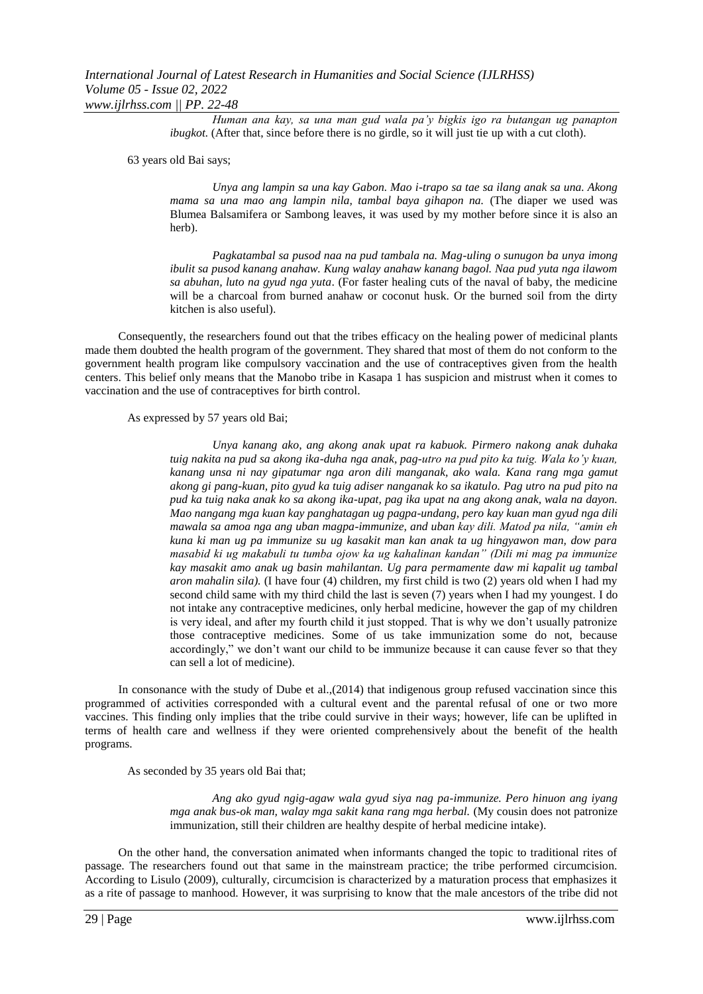*Human ana kay, sa una man gud wala pa'y bigkis igo ra butangan ug panapton ibugkot.* (After that, since before there is no girdle, so it will just tie up with a cut cloth).

63 years old Bai says;

*Unya ang lampin sa una kay Gabon. Mao i-trapo sa tae sa ilang anak sa una. Akong mama sa una mao ang lampin nila, tambal baya gihapon na.* (The diaper we used was Blumea Balsamifera or Sambong leaves, it was used by my mother before since it is also an herb).

*Pagkatambal sa pusod naa na pud tambala na. Mag-uling o sunugon ba unya imong ibulit sa pusod kanang anahaw. Kung walay anahaw kanang bagol. Naa pud yuta nga ilawom sa abuhan, luto na gyud nga yuta*. (For faster healing cuts of the naval of baby, the medicine will be a charcoal from burned anahaw or coconut husk. Or the burned soil from the dirty kitchen is also useful).

Consequently, the researchers found out that the tribes efficacy on the healing power of medicinal plants made them doubted the health program of the government. They shared that most of them do not conform to the government health program like compulsory vaccination and the use of contraceptives given from the health centers. This belief only means that the Manobo tribe in Kasapa 1 has suspicion and mistrust when it comes to vaccination and the use of contraceptives for birth control.

As expressed by 57 years old Bai;

*Unya kanang ako, ang akong anak upat ra kabuok. Pirmero nakong anak duhaka tuig nakita na pud sa akong ika-duha nga anak, pag-utro na pud pito ka tuig. Wala ko'y kuan, kanang unsa ni nay gipatumar nga aron dili manganak, ako wala. Kana rang mga gamut akong gi pang-kuan, pito gyud ka tuig adiser nanganak ko sa ikatulo. Pag utro na pud pito na pud ka tuig naka anak ko sa akong ika-upat, pag ika upat na ang akong anak, wala na dayon. Mao nangang mga kuan kay panghatagan ug pagpa-undang, pero kay kuan man gyud nga dili mawala sa amoa nga ang uban magpa-immunize, and uban kay dili. Matod pa nila, "amin eh kuna ki man ug pa immunize su ug kasakit man kan anak ta ug hingyawon man, dow para masabid ki ug makabuli tu tumba ojow ka ug kahalinan kandan" (Dili mi mag pa immunize kay masakit amo anak ug basin mahilantan. Ug para permamente daw mi kapalit ug tambal aron mahalin sila).* (I have four (4) children, my first child is two (2) years old when I had my second child same with my third child the last is seven (7) years when I had my youngest. I do not intake any contraceptive medicines, only herbal medicine, however the gap of my children is very ideal, and after my fourth child it just stopped. That is why we don't usually patronize those contraceptive medicines. Some of us take immunization some do not, because accordingly," we don't want our child to be immunize because it can cause fever so that they can sell a lot of medicine).

In consonance with the study of Dube et al.,(2014) that indigenous group refused vaccination since this programmed of activities corresponded with a cultural event and the parental refusal of one or two more vaccines. This finding only implies that the tribe could survive in their ways; however, life can be uplifted in terms of health care and wellness if they were oriented comprehensively about the benefit of the health programs.

As seconded by 35 years old Bai that;

*Ang ako gyud ngig-agaw wala gyud siya nag pa-immunize. Pero hinuon ang iyang mga anak bus-ok man, walay mga sakit kana rang mga herbal.* (My cousin does not patronize immunization, still their children are healthy despite of herbal medicine intake).

On the other hand, the conversation animated when informants changed the topic to traditional rites of passage. The researchers found out that same in the mainstream practice; the tribe performed circumcision. According to Lisulo (2009), culturally, circumcision is characterized by a maturation process that emphasizes it as a rite of passage to manhood. However, it was surprising to know that the male ancestors of the tribe did not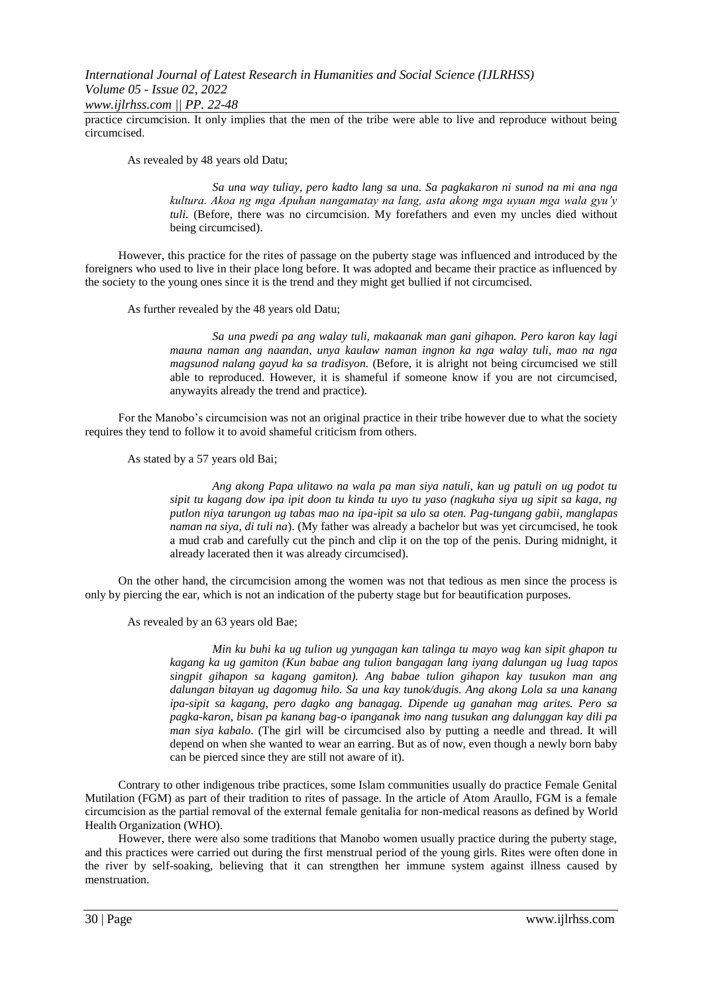*www.ijlrhss.com || PP. 22-48*

practice circumcision. It only implies that the men of the tribe were able to live and reproduce without being circumcised.

As revealed by 48 years old Datu;

*Sa una way tuliay, pero kadto lang sa una. Sa pagkakaron ni sunod na mi ana nga kultura. Akoa ng mga Apuhan nangamatay na lang, asta akong mga uyuan mga wala gyu'y tuli.* (Before, there was no circumcision. My forefathers and even my uncles died without being circumcised).

However, this practice for the rites of passage on the puberty stage was influenced and introduced by the foreigners who used to live in their place long before. It was adopted and became their practice as influenced by the society to the young ones since it is the trend and they might get bullied if not circumcised.

As further revealed by the 48 years old Datu;

*Sa una pwedi pa ang walay tuli, makaanak man gani gihapon. Pero karon kay lagi mauna naman ang naandan, unya kaulaw naman ingnon ka nga walay tuli, mao na nga magsunod nalang gayud ka sa tradisyon.* (Before, it is alright not being circumcised we still able to reproduced. However, it is shameful if someone know if you are not circumcised, anywayits already the trend and practice).

For the Manobo's circumcision was not an original practice in their tribe however due to what the society requires they tend to follow it to avoid shameful criticism from others.

As stated by a 57 years old Bai;

*Ang akong Papa ulitawo na wala pa man siya natuli, kan ug patuli on ug podot tu sipit tu kagang dow ipa ipit doon tu kinda tu uyo tu yaso (nagkuha siya ug sipit sa kaga, ng putlon niya tarungon ug tabas mao na ipa-ipit sa ulo sa oten. Pag-tungang gabii, manglapas naman na siya, di tuli na*). (My father was already a bachelor but was yet circumcised, he took a mud crab and carefully cut the pinch and clip it on the top of the penis. During midnight, it already lacerated then it was already circumcised).

On the other hand, the circumcision among the women was not that tedious as men since the process is only by piercing the ear, which is not an indication of the puberty stage but for beautification purposes.

As revealed by an 63 years old Bae;

*Min ku buhi ka ug tulion ug yungagan kan talinga tu mayo wag kan sipit ghapon tu kagang ka ug gamiton (Kun babae ang tulion bangagan lang iyang dalungan ug luag tapos singpit gihapon sa kagang gamiton). Ang babae tulion gihapon kay tusukon man ang dalungan bitayan ug dagomug hilo. Sa una kay tunok/dugis. Ang akong Lola sa una kanang ipa-sipit sa kagang, pero dagko ang banagag. Dipende ug ganahan mag arites. Pero sa pagka-karon, bisan pa kanang bag-o ipanganak imo nang tusukan ang dalunggan kay dili pa man siya kabalo*. (The girl will be circumcised also by putting a needle and thread. It will depend on when she wanted to wear an earring. But as of now, even though a newly born baby can be pierced since they are still not aware of it).

Contrary to other indigenous tribe practices, some Islam communities usually do practice Female Genital Mutilation (FGM) as part of their tradition to rites of passage. In the article of Atom Araullo, FGM is a female circumcision as the partial removal of the external female genitalia for non-medical reasons as defined by World Health Organization (WHO).

However, there were also some traditions that Manobo women usually practice during the puberty stage, and this practices were carried out during the first menstrual period of the young girls. Rites were often done in the river by self-soaking, believing that it can strengthen her immune system against illness caused by menstruation.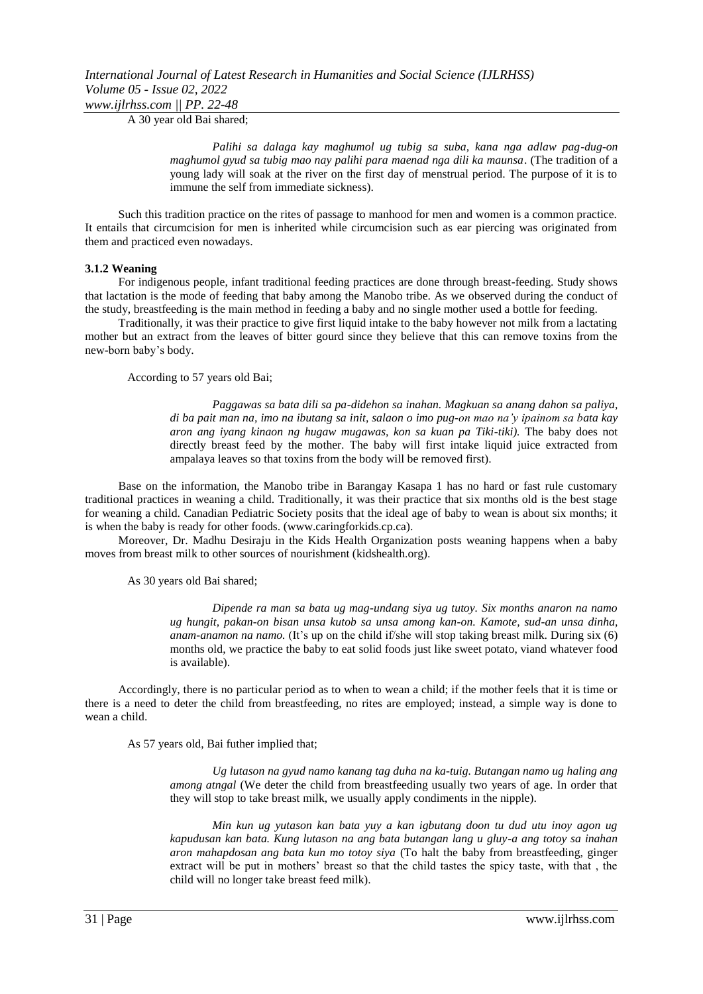A 30 year old Bai shared;

*Palihi sa dalaga kay maghumol ug tubig sa suba, kana nga adlaw pag-dug-on maghumol gyud sa tubig mao nay palihi para maenad nga dili ka maunsa*. (The tradition of a young lady will soak at the river on the first day of menstrual period. The purpose of it is to immune the self from immediate sickness).

Such this tradition practice on the rites of passage to manhood for men and women is a common practice. It entails that circumcision for men is inherited while circumcision such as ear piercing was originated from them and practiced even nowadays.

#### **3.1.2 Weaning**

For indigenous people, infant traditional feeding practices are done through breast-feeding. Study shows that lactation is the mode of feeding that baby among the Manobo tribe. As we observed during the conduct of the study, breastfeeding is the main method in feeding a baby and no single mother used a bottle for feeding.

Traditionally, it was their practice to give first liquid intake to the baby however not milk from a lactating mother but an extract from the leaves of bitter gourd since they believe that this can remove toxins from the new-born baby's body.

According to 57 years old Bai;

*Paggawas sa bata dili sa pa-didehon sa inahan. Magkuan sa anang dahon sa paliya, di ba pait man na, imo na ibutang sa init, salaon o imo pug-on mao na'y ipainom sa bata kay aron ang iyang kinaon ng hugaw mugawas, kon sa kuan pa Tiki-tiki).* The baby does not directly breast feed by the mother. The baby will first intake liquid juice extracted from ampalaya leaves so that toxins from the body will be removed first).

Base on the information, the Manobo tribe in Barangay Kasapa 1 has no hard or fast rule customary traditional practices in weaning a child. Traditionally, it was their practice that six months old is the best stage for weaning a child. Canadian Pediatric Society posits that the ideal age of baby to wean is about six months; it is when the baby is ready for other foods. (www.caringforkids.cp.ca).

Moreover, Dr. Madhu Desiraju in the Kids Health Organization posts weaning happens when a baby moves from breast milk to other sources of nourishment (kidshealth.org).

#### As 30 years old Bai shared;

*Dipende ra man sa bata ug mag-undang siya ug tutoy. Six months anaron na namo ug hungit, pakan-on bisan unsa kutob sa unsa among kan-on. Kamote, sud-an unsa dinha, anam-anamon na namo.* (It's up on the child if/she will stop taking breast milk. During six (6) months old, we practice the baby to eat solid foods just like sweet potato, viand whatever food is available).

Accordingly, there is no particular period as to when to wean a child; if the mother feels that it is time or there is a need to deter the child from breastfeeding, no rites are employed; instead, a simple way is done to wean a child.

As 57 years old, Bai futher implied that;

*Ug lutason na gyud namo kanang tag duha na ka-tuig. Butangan namo ug haling ang among atngal* (We deter the child from breastfeeding usually two years of age. In order that they will stop to take breast milk, we usually apply condiments in the nipple).

*Min kun ug yutason kan bata yuy a kan igbutang doon tu dud utu inoy agon ug kapudusan kan bata. Kung lutason na ang bata butangan lang u gluy-a ang totoy sa inahan aron mahapdosan ang bata kun mo totoy siya* (To halt the baby from breastfeeding, ginger extract will be put in mothers' breast so that the child tastes the spicy taste, with that , the child will no longer take breast feed milk).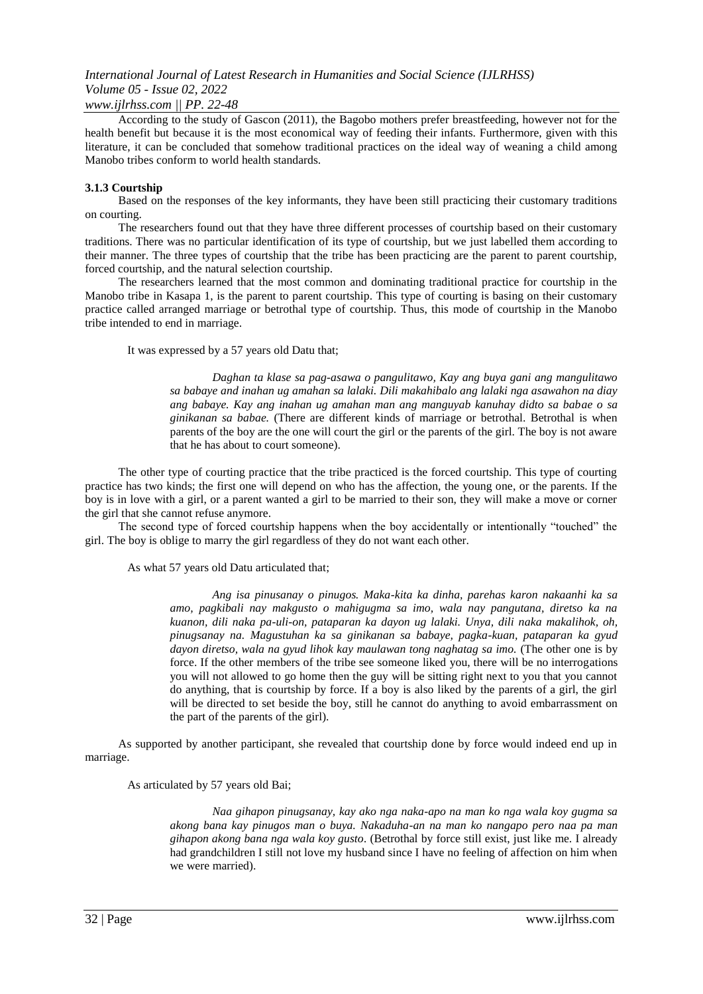### *www.ijlrhss.com || PP. 22-48*

According to the study of Gascon (2011), the Bagobo mothers prefer breastfeeding, however not for the health benefit but because it is the most economical way of feeding their infants. Furthermore, given with this literature, it can be concluded that somehow traditional practices on the ideal way of weaning a child among Manobo tribes conform to world health standards.

### **3.1.3 Courtship**

Based on the responses of the key informants, they have been still practicing their customary traditions on courting.

The researchers found out that they have three different processes of courtship based on their customary traditions. There was no particular identification of its type of courtship, but we just labelled them according to their manner. The three types of courtship that the tribe has been practicing are the parent to parent courtship, forced courtship, and the natural selection courtship.

The researchers learned that the most common and dominating traditional practice for courtship in the Manobo tribe in Kasapa 1, is the parent to parent courtship. This type of courting is basing on their customary practice called arranged marriage or betrothal type of courtship. Thus, this mode of courtship in the Manobo tribe intended to end in marriage.

It was expressed by a 57 years old Datu that;

*Daghan ta klase sa pag-asawa o pangulitawo, Kay ang buya gani ang mangulitawo sa babaye and inahan ug amahan sa lalaki. Dili makahibalo ang lalaki nga asawahon na diay ang babaye. Kay ang inahan ug amahan man ang manguyab kanuhay didto sa babae o sa ginikanan sa babae.* (There are different kinds of marriage or betrothal. Betrothal is when parents of the boy are the one will court the girl or the parents of the girl. The boy is not aware that he has about to court someone).

The other type of courting practice that the tribe practiced is the forced courtship. This type of courting practice has two kinds; the first one will depend on who has the affection, the young one, or the parents. If the boy is in love with a girl, or a parent wanted a girl to be married to their son, they will make a move or corner the girl that she cannot refuse anymore.

The second type of forced courtship happens when the boy accidentally or intentionally "touched" the girl. The boy is oblige to marry the girl regardless of they do not want each other.

### As what 57 years old Datu articulated that;

*Ang isa pinusanay o pinugos. Maka-kita ka dinha, parehas karon nakaanhi ka sa amo, pagkibali nay makgusto o mahigugma sa imo, wala nay pangutana, diretso ka na kuanon, dili naka pa-uli-on, pataparan ka dayon ug lalaki. Unya, dili naka makalihok, oh, pinugsanay na. Magustuhan ka sa ginikanan sa babaye, pagka-kuan, pataparan ka gyud dayon diretso, wala na gyud lihok kay maulawan tong naghatag sa imo.* (The other one is by force. If the other members of the tribe see someone liked you, there will be no interrogations you will not allowed to go home then the guy will be sitting right next to you that you cannot do anything, that is courtship by force. If a boy is also liked by the parents of a girl, the girl will be directed to set beside the boy, still he cannot do anything to avoid embarrassment on the part of the parents of the girl).

As supported by another participant, she revealed that courtship done by force would indeed end up in marriage.

As articulated by 57 years old Bai;

*Naa gihapon pinugsanay, kay ako nga naka-apo na man ko nga wala koy gugma sa akong bana kay pinugos man o buya. Nakaduha-an na man ko nangapo pero naa pa man gihapon akong bana nga wala koy gusto.* (Betrothal by force still exist, just like me. I already had grandchildren I still not love my husband since I have no feeling of affection on him when we were married).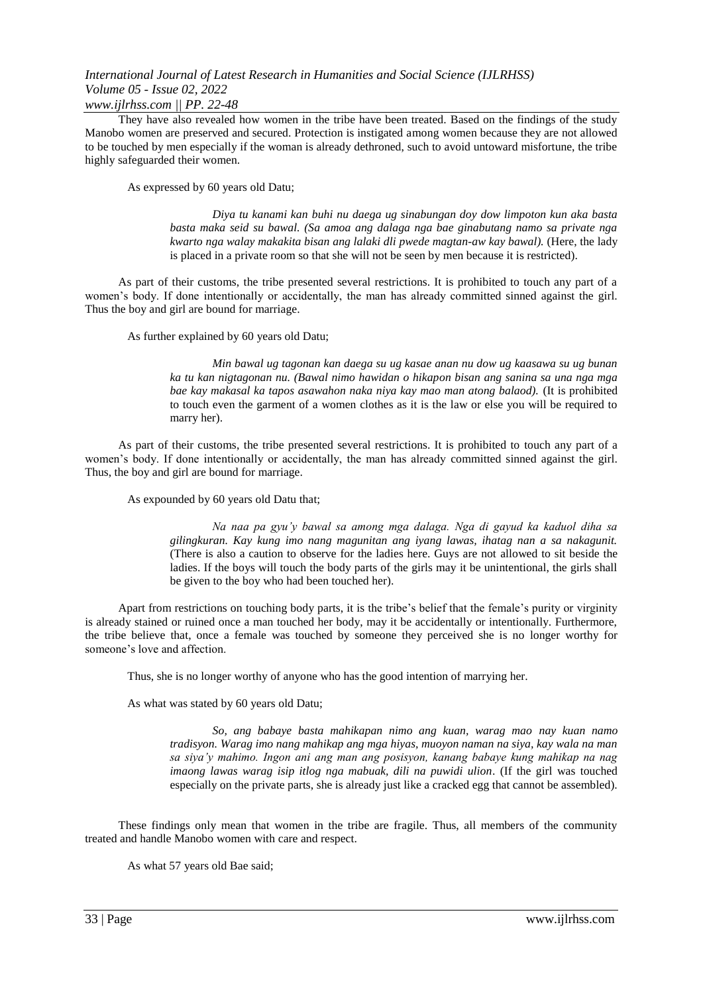### *www.ijlrhss.com || PP. 22-48*

They have also revealed how women in the tribe have been treated. Based on the findings of the study Manobo women are preserved and secured. Protection is instigated among women because they are not allowed to be touched by men especially if the woman is already dethroned, such to avoid untoward misfortune, the tribe highly safeguarded their women.

As expressed by 60 years old Datu;

*Diya tu kanami kan buhi nu daega ug sinabungan doy dow limpoton kun aka basta basta maka seid su bawal. (Sa amoa ang dalaga nga bae ginabutang namo sa private nga kwarto nga walay makakita bisan ang lalaki dli pwede magtan-aw kay bawal).* (Here, the lady is placed in a private room so that she will not be seen by men because it is restricted).

As part of their customs, the tribe presented several restrictions. It is prohibited to touch any part of a women's body. If done intentionally or accidentally, the man has already committed sinned against the girl. Thus the boy and girl are bound for marriage.

As further explained by 60 years old Datu;

*Min bawal ug tagonan kan daega su ug kasae anan nu dow ug kaasawa su ug bunan ka tu kan nigtagonan nu. (Bawal nimo hawidan o hikapon bisan ang sanina sa una nga mga bae kay makasal ka tapos asawahon naka niya kay mao man atong balaod).* (It is prohibited to touch even the garment of a women clothes as it is the law or else you will be required to marry her).

As part of their customs, the tribe presented several restrictions. It is prohibited to touch any part of a women's body. If done intentionally or accidentally, the man has already committed sinned against the girl. Thus, the boy and girl are bound for marriage.

As expounded by 60 years old Datu that;

*Na naa pa gyu'y bawal sa among mga dalaga. Nga di gayud ka kaduol diha sa gilingkuran. Kay kung imo nang magunitan ang iyang lawas, ihatag nan a sa nakagunit.* (There is also a caution to observe for the ladies here. Guys are not allowed to sit beside the ladies. If the boys will touch the body parts of the girls may it be unintentional, the girls shall be given to the boy who had been touched her).

Apart from restrictions on touching body parts, it is the tribe's belief that the female's purity or virginity is already stained or ruined once a man touched her body, may it be accidentally or intentionally. Furthermore, the tribe believe that, once a female was touched by someone they perceived she is no longer worthy for someone's love and affection.

Thus, she is no longer worthy of anyone who has the good intention of marrying her.

As what was stated by 60 years old Datu;

*So, ang babaye basta mahikapan nimo ang kuan, warag mao nay kuan namo tradisyon. Warag imo nang mahikap ang mga hiyas, muoyon naman na siya, kay wala na man sa siya'y mahimo. Ingon ani ang man ang posisyon, kanang babaye kung mahikap na nag imaong lawas warag isip itlog nga mabuak, dili na puwidi ulion*. (If the girl was touched especially on the private parts, she is already just like a cracked egg that cannot be assembled).

These findings only mean that women in the tribe are fragile. Thus, all members of the community treated and handle Manobo women with care and respect.

As what 57 years old Bae said;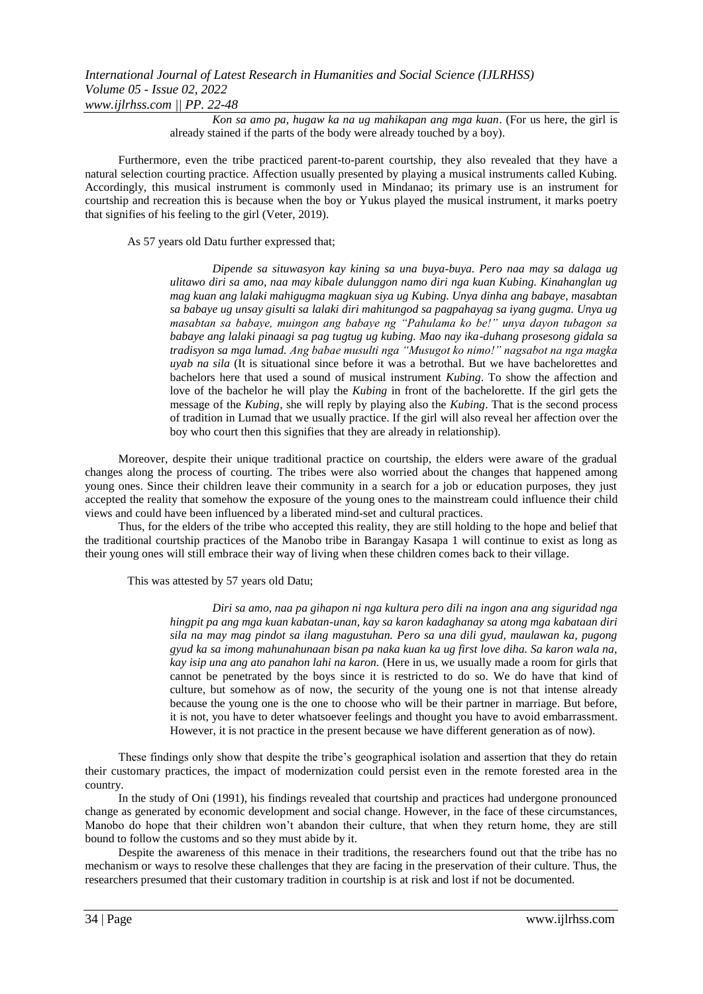*Kon sa amo pa, hugaw ka na ug mahikapan ang mga kuan*. (For us here, the girl is already stained if the parts of the body were already touched by a boy).

Furthermore, even the tribe practiced parent-to-parent courtship, they also revealed that they have a natural selection courting practice. Affection usually presented by playing a musical instruments called Kubing. Accordingly, this musical instrument is commonly used in Mindanao; its primary use is an instrument for courtship and recreation this is because when the boy or Yukus played the musical instrument, it marks poetry that signifies of his feeling to the girl (Veter, 2019).

As 57 years old Datu further expressed that;

*Dipende sa situwasyon kay kining sa una buya-buya. Pero naa may sa dalaga ug ulitawo diri sa amo, naa may kibale dulunggon namo diri nga kuan Kubing. Kinahanglan ug mag kuan ang lalaki mahigugma magkuan siya ug Kubing. Unya dinha ang babaye, masabtan sa babaye ug unsay gisulti sa lalaki diri mahitungod sa pagpahayag sa iyang gugma. Unya ug masabtan sa babaye, muingon ang babaye ng "Pahulama ko be!" unya dayon tubagon sa babaye ang lalaki pinaagi sa pag tugtug ug kubing. Mao nay ika-duhang prosesong gidala sa tradisyon sa mga lumad. Ang babae musulti nga "Musugot ko nimo!" nagsabot na nga magka uyab na sila* (It is situational since before it was a betrothal. But we have bachelorettes and bachelors here that used a sound of musical instrument *Kubing*. To show the affection and love of the bachelor he will play the *Kubing* in front of the bachelorette. If the girl gets the message of the *Kubing*, she will reply by playing also the *Kubing*. That is the second process of tradition in Lumad that we usually practice. If the girl will also reveal her affection over the boy who court then this signifies that they are already in relationship).

Moreover, despite their unique traditional practice on courtship, the elders were aware of the gradual changes along the process of courting. The tribes were also worried about the changes that happened among young ones. Since their children leave their community in a search for a job or education purposes, they just accepted the reality that somehow the exposure of the young ones to the mainstream could influence their child views and could have been influenced by a liberated mind-set and cultural practices.

Thus, for the elders of the tribe who accepted this reality, they are still holding to the hope and belief that the traditional courtship practices of the Manobo tribe in Barangay Kasapa 1 will continue to exist as long as their young ones will still embrace their way of living when these children comes back to their village.

This was attested by 57 years old Datu;

*Diri sa amo, naa pa gihapon ni nga kultura pero dili na ingon ana ang siguridad nga hingpit pa ang mga kuan kabatan-unan, kay sa karon kadaghanay sa atong mga kabataan diri sila na may mag pindot sa ilang magustuhan. Pero sa una dili gyud, maulawan ka, pugong gyud ka sa imong mahunahunaan bisan pa naka kuan ka ug first love diha. Sa karon wala na, kay isip una ang ato panahon lahi na karon.* (Here in us, we usually made a room for girls that cannot be penetrated by the boys since it is restricted to do so. We do have that kind of culture, but somehow as of now, the security of the young one is not that intense already because the young one is the one to choose who will be their partner in marriage. But before, it is not, you have to deter whatsoever feelings and thought you have to avoid embarrassment. However, it is not practice in the present because we have different generation as of now).

These findings only show that despite the tribe's geographical isolation and assertion that they do retain their customary practices, the impact of modernization could persist even in the remote forested area in the country.

In the study of Oni (1991), his findings revealed that courtship and practices had undergone pronounced change as generated by economic development and social change. However, in the face of these circumstances, Manobo do hope that their children won't abandon their culture, that when they return home, they are still bound to follow the customs and so they must abide by it.

Despite the awareness of this menace in their traditions, the researchers found out that the tribe has no mechanism or ways to resolve these challenges that they are facing in the preservation of their culture. Thus, the researchers presumed that their customary tradition in courtship is at risk and lost if not be documented.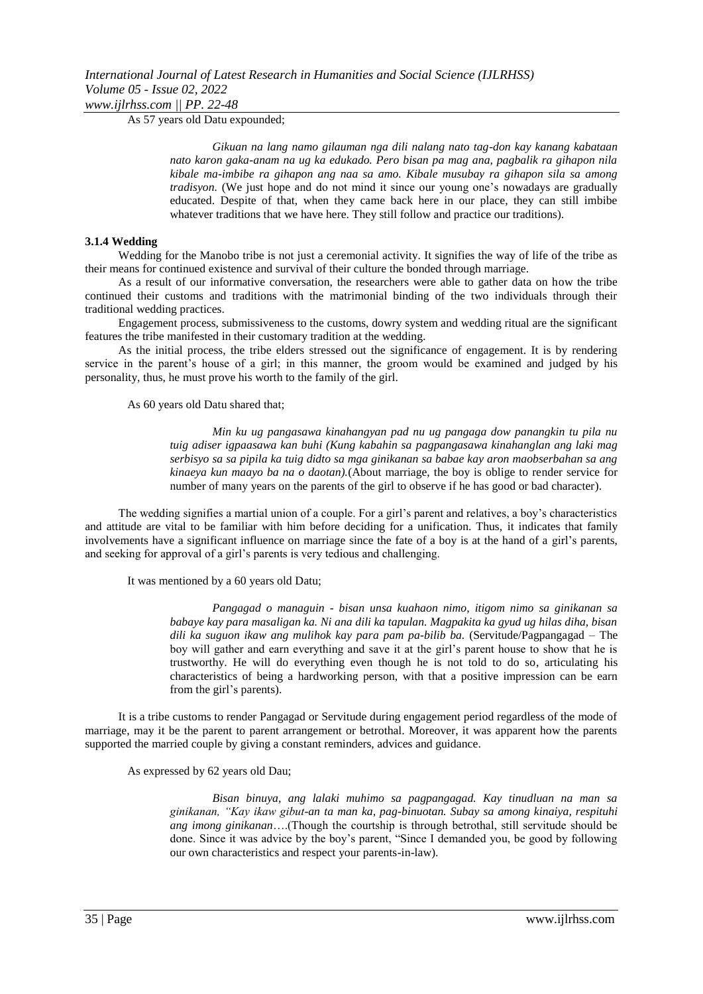*www.ijlrhss.com || PP. 22-48*

As 57 years old Datu expounded;

*Gikuan na lang namo gilauman nga dili nalang nato tag-don kay kanang kabataan nato karon gaka-anam na ug ka edukado. Pero bisan pa mag ana, pagbalik ra gihapon nila kibale ma-imbibe ra gihapon ang naa sa amo. Kibale musubay ra gihapon sila sa among tradisyon.* (We just hope and do not mind it since our young one's nowadays are gradually educated. Despite of that, when they came back here in our place, they can still imbibe whatever traditions that we have here. They still follow and practice our traditions).

### **3.1.4 Wedding**

Wedding for the Manobo tribe is not just a ceremonial activity. It signifies the way of life of the tribe as their means for continued existence and survival of their culture the bonded through marriage.

As a result of our informative conversation, the researchers were able to gather data on how the tribe continued their customs and traditions with the matrimonial binding of the two individuals through their traditional wedding practices.

Engagement process, submissiveness to the customs, dowry system and wedding ritual are the significant features the tribe manifested in their customary tradition at the wedding.

As the initial process, the tribe elders stressed out the significance of engagement. It is by rendering service in the parent's house of a girl; in this manner, the groom would be examined and judged by his personality, thus, he must prove his worth to the family of the girl.

As 60 years old Datu shared that;

*Min ku ug pangasawa kinahangyan pad nu ug pangaga dow panangkin tu pila nu tuig adiser igpaasawa kan buhi (Kung kabahin sa pagpangasawa kinahanglan ang laki mag serbisyo sa sa pipila ka tuig didto sa mga ginikanan sa babae kay aron maobserbahan sa ang kinaeya kun maayo ba na o daotan).*(About marriage, the boy is oblige to render service for number of many years on the parents of the girl to observe if he has good or bad character).

The wedding signifies a martial union of a couple. For a girl's parent and relatives, a boy's characteristics and attitude are vital to be familiar with him before deciding for a unification. Thus, it indicates that family involvements have a significant influence on marriage since the fate of a boy is at the hand of a girl's parents, and seeking for approval of a girl's parents is very tedious and challenging.

It was mentioned by a 60 years old Datu;

*Pangagad o managuin - bisan unsa kuahaon nimo, itigom nimo sa ginikanan sa babaye kay para masaligan ka. Ni ana dili ka tapulan. Magpakita ka gyud ug hilas diha, bisan dili ka suguon ikaw ang mulihok kay para pam pa-bilib ba.* (Servitude/Pagpangagad – The boy will gather and earn everything and save it at the girl's parent house to show that he is trustworthy. He will do everything even though he is not told to do so, articulating his characteristics of being a hardworking person, with that a positive impression can be earn from the girl's parents).

It is a tribe customs to render Pangagad or Servitude during engagement period regardless of the mode of marriage, may it be the parent to parent arrangement or betrothal. Moreover, it was apparent how the parents supported the married couple by giving a constant reminders, advices and guidance.

As expressed by 62 years old Dau;

*Bisan binuya, ang lalaki muhimo sa pagpangagad. Kay tinudluan na man sa ginikanan, "Kay ikaw gibut-an ta man ka, pag-binuotan. Subay sa among kinaiya, respituhi ang imong ginikanan*….(Though the courtship is through betrothal, still servitude should be done. Since it was advice by the boy's parent, "Since I demanded you, be good by following our own characteristics and respect your parents-in-law).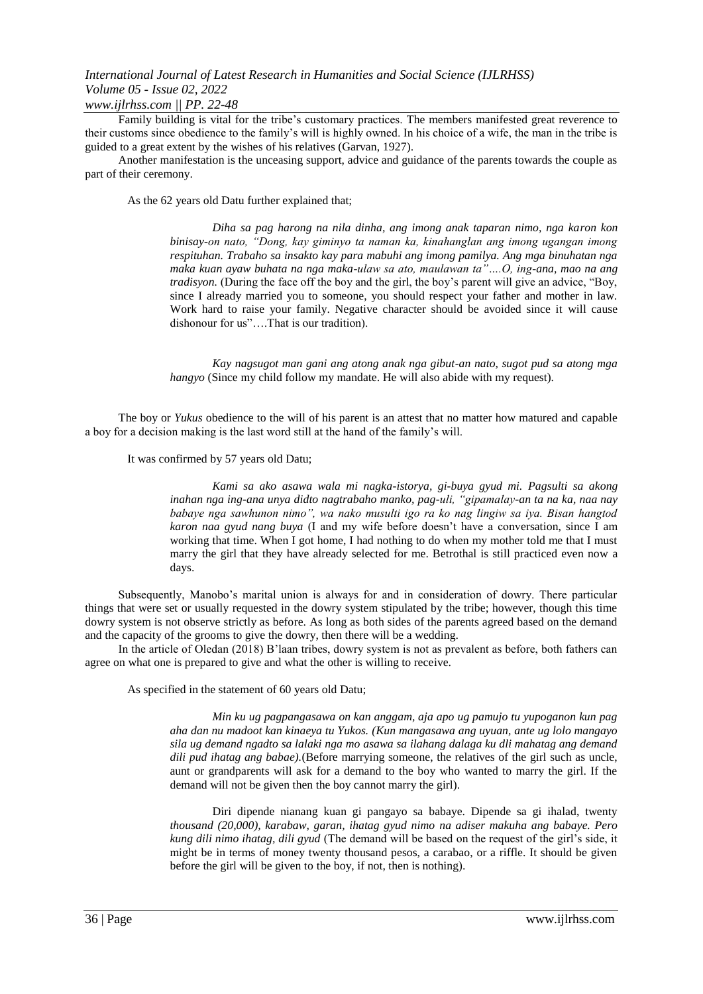## *www.ijlrhss.com || PP. 22-48*

Family building is vital for the tribe's customary practices. The members manifested great reverence to their customs since obedience to the family's will is highly owned. In his choice of a wife, the man in the tribe is guided to a great extent by the wishes of his relatives (Garvan, 1927).

Another manifestation is the unceasing support, advice and guidance of the parents towards the couple as part of their ceremony.

As the 62 years old Datu further explained that;

*Diha sa pag harong na nila dinha, ang imong anak taparan nimo, nga karon kon binisay-on nato, "Dong, kay giminyo ta naman ka, kinahanglan ang imong ugangan imong respituhan. Trabaho sa insakto kay para mabuhi ang imong pamilya. Ang mga binuhatan nga maka kuan ayaw buhata na nga maka-ulaw sa ato, maulawan ta"….O, ing-ana, mao na ang tradisyon.* (During the face off the boy and the girl, the boy's parent will give an advice, "Boy, since I already married you to someone, you should respect your father and mother in law. Work hard to raise your family. Negative character should be avoided since it will cause dishonour for us"….That is our tradition).

*Kay nagsugot man gani ang atong anak nga gibut-an nato, sugot pud sa atong mga hangyo* (Since my child follow my mandate. He will also abide with my request).

The boy or *Yukus* obedience to the will of his parent is an attest that no matter how matured and capable a boy for a decision making is the last word still at the hand of the family's will.

### It was confirmed by 57 years old Datu;

*Kami sa ako asawa wala mi nagka-istorya, gi-buya gyud mi. Pagsulti sa akong inahan nga ing-ana unya didto nagtrabaho manko, pag-uli, "gipamalay-an ta na ka, naa nay babaye nga sawhunon nimo", wa nako musulti igo ra ko nag lingiw sa iya. Bisan hangtod karon naa gyud nang buya* (I and my wife before doesn't have a conversation, since I am working that time. When I got home, I had nothing to do when my mother told me that I must marry the girl that they have already selected for me. Betrothal is still practiced even now a days.

Subsequently, Manobo's marital union is always for and in consideration of dowry. There particular things that were set or usually requested in the dowry system stipulated by the tribe; however, though this time dowry system is not observe strictly as before. As long as both sides of the parents agreed based on the demand and the capacity of the grooms to give the dowry, then there will be a wedding.

In the article of Oledan (2018) B'laan tribes, dowry system is not as prevalent as before, both fathers can agree on what one is prepared to give and what the other is willing to receive.

As specified in the statement of 60 years old Datu;

*Min ku ug pagpangasawa on kan anggam, aja apo ug pamujo tu yupoganon kun pag aha dan nu madoot kan kinaeya tu Yukos. (Kun mangasawa ang uyuan, ante ug lolo mangayo sila ug demand ngadto sa lalaki nga mo asawa sa ilahang dalaga ku dli mahatag ang demand dili pud ihatag ang babae).*(Before marrying someone, the relatives of the girl such as uncle, aunt or grandparents will ask for a demand to the boy who wanted to marry the girl. If the demand will not be given then the boy cannot marry the girl).

Diri dipende nianang kuan gi pangayo sa babaye. Dipende sa gi ihalad, twenty *thousand (20,000), karabaw, garan, ihatag gyud nimo na adiser makuha ang babaye. Pero kung dili nimo ihatag, dili gyud* (The demand will be based on the request of the girl's side, it might be in terms of money twenty thousand pesos, a carabao, or a riffle. It should be given before the girl will be given to the boy, if not, then is nothing).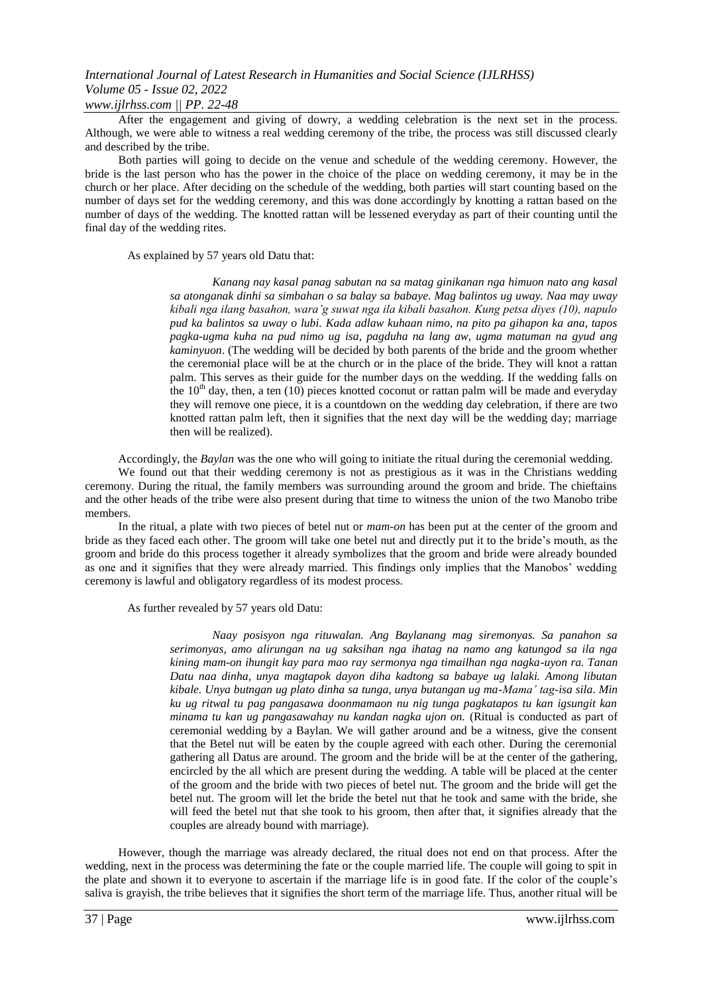### *www.ijlrhss.com || PP. 22-48*

After the engagement and giving of dowry, a wedding celebration is the next set in the process. Although, we were able to witness a real wedding ceremony of the tribe, the process was still discussed clearly and described by the tribe.

Both parties will going to decide on the venue and schedule of the wedding ceremony. However, the bride is the last person who has the power in the choice of the place on wedding ceremony, it may be in the church or her place. After deciding on the schedule of the wedding, both parties will start counting based on the number of days set for the wedding ceremony, and this was done accordingly by knotting a rattan based on the number of days of the wedding. The knotted rattan will be lessened everyday as part of their counting until the final day of the wedding rites.

As explained by 57 years old Datu that:

*Kanang nay kasal panag sabutan na sa matag ginikanan nga himuon nato ang kasal sa atonganak dinhi sa simbahan o sa balay sa babaye. Mag balintos ug uway. Naa may uway kibali nga ilang basahon, wara'g suwat nga ila kibali basahon. Kung petsa diyes (10), napulo pud ka balintos sa uway o lubi. Kada adlaw kuhaan nimo, na pito pa gihapon ka ana, tapos pagka-ugma kuha na pud nimo ug isa, pagduha na lang aw, ugma matuman na gyud ang kaminyuon*. (The wedding will be decided by both parents of the bride and the groom whether the ceremonial place will be at the church or in the place of the bride. They will knot a rattan palm. This serves as their guide for the number days on the wedding. If the wedding falls on the  $10<sup>th</sup>$  day, then, a ten (10) pieces knotted coconut or rattan palm will be made and everyday they will remove one piece, it is a countdown on the wedding day celebration, if there are two knotted rattan palm left, then it signifies that the next day will be the wedding day; marriage then will be realized).

Accordingly, the *Baylan* was the one who will going to initiate the ritual during the ceremonial wedding.

We found out that their wedding ceremony is not as prestigious as it was in the Christians wedding ceremony. During the ritual, the family members was surrounding around the groom and bride. The chieftains and the other heads of the tribe were also present during that time to witness the union of the two Manobo tribe members.

In the ritual, a plate with two pieces of betel nut or *mam-on* has been put at the center of the groom and bride as they faced each other. The groom will take one betel nut and directly put it to the bride's mouth, as the groom and bride do this process together it already symbolizes that the groom and bride were already bounded as one and it signifies that they were already married. This findings only implies that the Manobos' wedding ceremony is lawful and obligatory regardless of its modest process.

As further revealed by 57 years old Datu:

*Naay posisyon nga rituwalan. Ang Baylanang mag siremonyas. Sa panahon sa serimonyas, amo alirungan na ug saksihan nga ihatag na namo ang katungod sa ila nga kining mam-on ihungit kay para mao ray sermonya nga timailhan nga nagka-uyon ra. Tanan Datu naa dinha, unya magtapok dayon diha kadtong sa babaye ug lalaki. Among libutan kibale. Unya butngan ug plato dinha sa tunga, unya butangan ug ma-Mama' tag-isa sila*. *Min ku ug ritwal tu pag pangasawa doonmamaon nu nig tunga pagkatapos tu kan igsungit kan minama tu kan ug pangasawahay nu kandan nagka ujon on.* (Ritual is conducted as part of ceremonial wedding by a Baylan. We will gather around and be a witness, give the consent that the Betel nut will be eaten by the couple agreed with each other. During the ceremonial gathering all Datus are around. The groom and the bride will be at the center of the gathering, encircled by the all which are present during the wedding. A table will be placed at the center of the groom and the bride with two pieces of betel nut. The groom and the bride will get the betel nut. The groom will let the bride the betel nut that he took and same with the bride, she will feed the betel nut that she took to his groom, then after that, it signifies already that the couples are already bound with marriage).

However, though the marriage was already declared, the ritual does not end on that process. After the wedding, next in the process was determining the fate or the couple married life. The couple will going to spit in the plate and shown it to everyone to ascertain if the marriage life is in good fate. If the color of the couple's saliva is grayish, the tribe believes that it signifies the short term of the marriage life. Thus, another ritual will be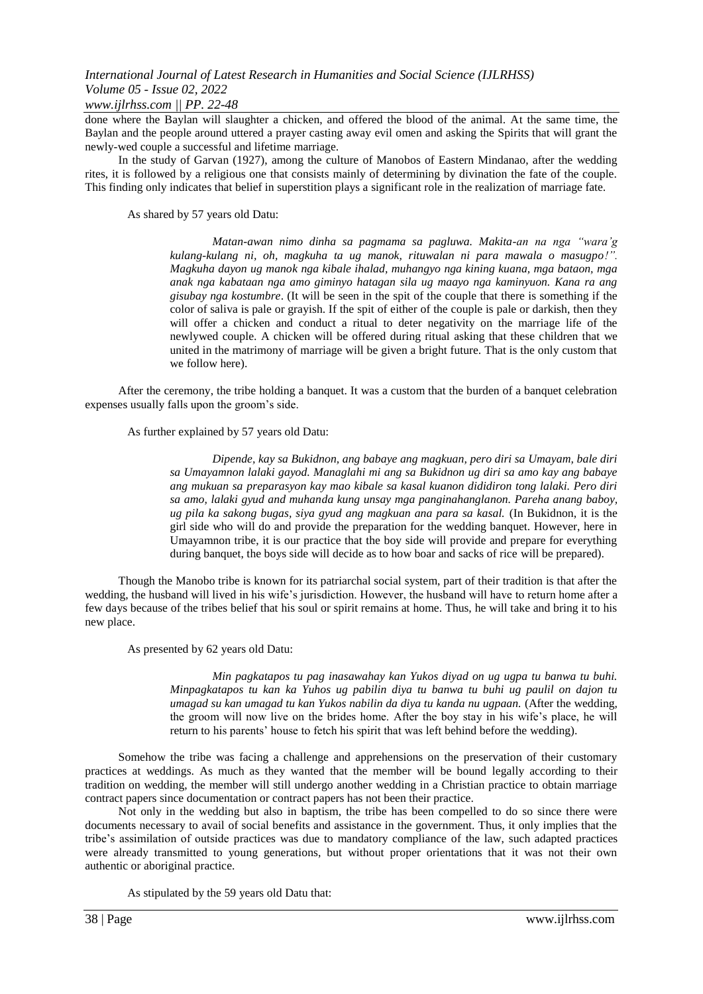### *www.ijlrhss.com || PP. 22-48*

done where the Baylan will slaughter a chicken, and offered the blood of the animal. At the same time, the Baylan and the people around uttered a prayer casting away evil omen and asking the Spirits that will grant the newly-wed couple a successful and lifetime marriage.

In the study of Garvan (1927), among the culture of Manobos of Eastern Mindanao, after the wedding rites, it is followed by a religious one that consists mainly of determining by divination the fate of the couple. This finding only indicates that belief in superstition plays a significant role in the realization of marriage fate.

As shared by 57 years old Datu:

*Matan-awan nimo dinha sa pagmama sa pagluwa. Makita-an na nga "wara'g kulang-kulang ni, oh, magkuha ta ug manok, rituwalan ni para mawala o masugpo!". Magkuha dayon ug manok nga kibale ihalad, muhangyo nga kining kuana, mga bataon, mga anak nga kabataan nga amo giminyo hatagan sila ug maayo nga kaminyuon. Kana ra ang gisubay nga kostumbre*. (It will be seen in the spit of the couple that there is something if the color of saliva is pale or grayish. If the spit of either of the couple is pale or darkish, then they will offer a chicken and conduct a ritual to deter negativity on the marriage life of the newlywed couple. A chicken will be offered during ritual asking that these children that we united in the matrimony of marriage will be given a bright future. That is the only custom that we follow here).

After the ceremony, the tribe holding a banquet. It was a custom that the burden of a banquet celebration expenses usually falls upon the groom's side.

As further explained by 57 years old Datu:

*Dipende, kay sa Bukidnon, ang babaye ang magkuan, pero diri sa Umayam, bale diri sa Umayamnon lalaki gayod. Managlahi mi ang sa Bukidnon ug diri sa amo kay ang babaye ang mukuan sa preparasyon kay mao kibale sa kasal kuanon dididiron tong lalaki. Pero diri sa amo, lalaki gyud and muhanda kung unsay mga panginahanglanon. Pareha anang baboy, ug pila ka sakong bugas, siya gyud ang magkuan ana para sa kasal.* (In Bukidnon, it is the girl side who will do and provide the preparation for the wedding banquet. However, here in Umayamnon tribe, it is our practice that the boy side will provide and prepare for everything during banquet, the boys side will decide as to how boar and sacks of rice will be prepared).

Though the Manobo tribe is known for its patriarchal social system, part of their tradition is that after the wedding, the husband will lived in his wife's jurisdiction. However, the husband will have to return home after a few days because of the tribes belief that his soul or spirit remains at home. Thus, he will take and bring it to his new place.

As presented by 62 years old Datu:

*Min pagkatapos tu pag inasawahay kan Yukos diyad on ug ugpa tu banwa tu buhi. Minpagkatapos tu kan ka Yuhos ug pabilin diya tu banwa tu buhi ug paulil on dajon tu umagad su kan umagad tu kan Yukos nabilin da diya tu kanda nu ugpaan.* (After the wedding, the groom will now live on the brides home. After the boy stay in his wife's place, he will return to his parents' house to fetch his spirit that was left behind before the wedding).

Somehow the tribe was facing a challenge and apprehensions on the preservation of their customary practices at weddings. As much as they wanted that the member will be bound legally according to their tradition on wedding, the member will still undergo another wedding in a Christian practice to obtain marriage contract papers since documentation or contract papers has not been their practice.

Not only in the wedding but also in baptism, the tribe has been compelled to do so since there were documents necessary to avail of social benefits and assistance in the government. Thus, it only implies that the tribe's assimilation of outside practices was due to mandatory compliance of the law, such adapted practices were already transmitted to young generations, but without proper orientations that it was not their own authentic or aboriginal practice.

As stipulated by the 59 years old Datu that: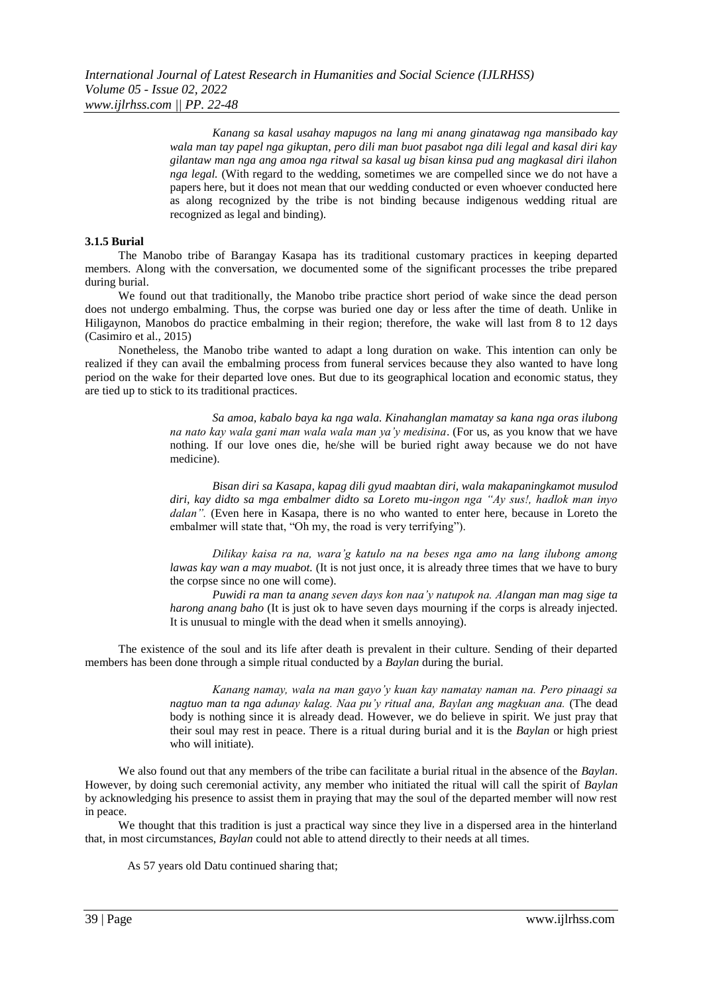*Kanang sa kasal usahay mapugos na lang mi anang ginatawag nga mansibado kay wala man tay papel nga gikuptan, pero dili man buot pasabot nga dili legal and kasal diri kay gilantaw man nga ang amoa nga ritwal sa kasal ug bisan kinsa pud ang magkasal diri ilahon nga legal.* (With regard to the wedding, sometimes we are compelled since we do not have a papers here, but it does not mean that our wedding conducted or even whoever conducted here as along recognized by the tribe is not binding because indigenous wedding ritual are recognized as legal and binding).

### **3.1.5 Burial**

The Manobo tribe of Barangay Kasapa has its traditional customary practices in keeping departed members. Along with the conversation, we documented some of the significant processes the tribe prepared during burial.

We found out that traditionally, the Manobo tribe practice short period of wake since the dead person does not undergo embalming. Thus, the corpse was buried one day or less after the time of death. Unlike in Hiligaynon, Manobos do practice embalming in their region; therefore, the wake will last from 8 to 12 days (Casimiro et al., 2015)

Nonetheless, the Manobo tribe wanted to adapt a long duration on wake. This intention can only be realized if they can avail the embalming process from funeral services because they also wanted to have long period on the wake for their departed love ones. But due to its geographical location and economic status, they are tied up to stick to its traditional practices.

> *Sa amoa, kabalo baya ka nga wala. Kinahanglan mamatay sa kana nga oras ilubong na nato kay wala gani man wala wala man ya'y medisina*. (For us, as you know that we have nothing. If our love ones die, he/she will be buried right away because we do not have medicine).

> *Bisan diri sa Kasapa, kapag dili gyud maabtan diri, wala makapaningkamot musulod diri, kay didto sa mga embalmer didto sa Loreto mu-ingon nga "Ay sus!, hadlok man inyo dalan".* (Even here in Kasapa, there is no who wanted to enter here, because in Loreto the embalmer will state that, "Oh my, the road is very terrifying").

> *Dilikay kaisa ra na, wara'g katulo na na beses nga amo na lang ilubong among lawas kay wan a may muabot.* (It is not just once, it is already three times that we have to bury the corpse since no one will come).

> *Puwidi ra man ta anang seven days kon naa'y natupok na. Alangan man mag sige ta harong anang baho* (It is just ok to have seven days mourning if the corps is already injected. It is unusual to mingle with the dead when it smells annoying).

The existence of the soul and its life after death is prevalent in their culture. Sending of their departed members has been done through a simple ritual conducted by a *Baylan* during the burial.

> *Kanang namay, wala na man gayo'y kuan kay namatay naman na. Pero pinaagi sa nagtuo man ta nga adunay kalag. Naa pu'y ritual ana, Baylan ang magkuan ana.* (The dead body is nothing since it is already dead. However, we do believe in spirit. We just pray that their soul may rest in peace. There is a ritual during burial and it is the *Baylan* or high priest who will initiate).

We also found out that any members of the tribe can facilitate a burial ritual in the absence of the *Baylan*. However, by doing such ceremonial activity, any member who initiated the ritual will call the spirit of *Baylan* by acknowledging his presence to assist them in praying that may the soul of the departed member will now rest in peace.

We thought that this tradition is just a practical way since they live in a dispersed area in the hinterland that, in most circumstances, *Baylan* could not able to attend directly to their needs at all times.

As 57 years old Datu continued sharing that;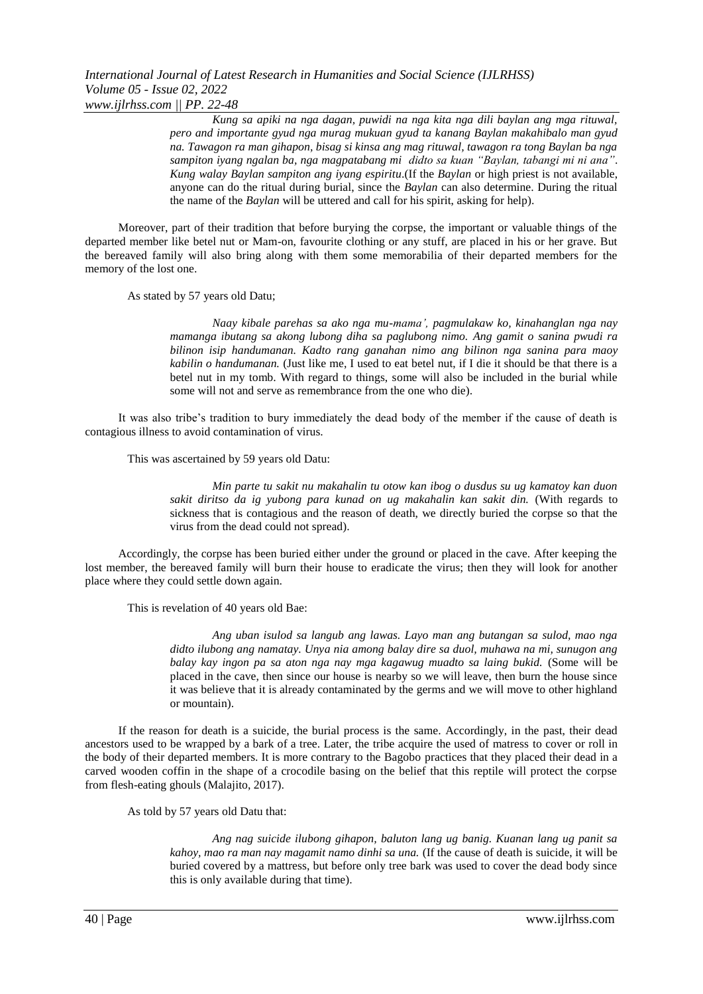*Kung sa apiki na nga dagan, puwidi na nga kita nga dili baylan ang mga rituwal, pero and importante gyud nga murag mukuan gyud ta kanang Baylan makahibalo man gyud na. Tawagon ra man gihapon, bisag si kinsa ang mag rituwal, tawagon ra tong Baylan ba nga sampiton iyang ngalan ba, nga magpatabang mi didto sa kuan "Baylan, tabangi mi ni ana"*. *Kung walay Baylan sampiton ang iyang espiritu*.(If the *Baylan* or high priest is not available, anyone can do the ritual during burial, since the *Baylan* can also determine. During the ritual the name of the *Baylan* will be uttered and call for his spirit, asking for help).

Moreover, part of their tradition that before burying the corpse, the important or valuable things of the departed member like betel nut or Mam-on, favourite clothing or any stuff, are placed in his or her grave. But the bereaved family will also bring along with them some memorabilia of their departed members for the memory of the lost one.

As stated by 57 years old Datu;

*Naay kibale parehas sa ako nga mu-mama', pagmulakaw ko, kinahanglan nga nay mamanga ibutang sa akong lubong diha sa paglubong nimo. Ang gamit o sanina pwudi ra bilinon isip handumanan. Kadto rang ganahan nimo ang bilinon nga sanina para maoy kabilin o handumanan.* (Just like me, I used to eat betel nut, if I die it should be that there is a betel nut in my tomb. With regard to things, some will also be included in the burial while some will not and serve as remembrance from the one who die).

It was also tribe's tradition to bury immediately the dead body of the member if the cause of death is contagious illness to avoid contamination of virus.

This was ascertained by 59 years old Datu:

*Min parte tu sakit nu makahalin tu otow kan ibog o dusdus su ug kamatoy kan duon sakit diritso da ig yubong para kunad on ug makahalin kan sakit din.* (With regards to sickness that is contagious and the reason of death, we directly buried the corpse so that the virus from the dead could not spread).

Accordingly, the corpse has been buried either under the ground or placed in the cave. After keeping the lost member, the bereaved family will burn their house to eradicate the virus; then they will look for another place where they could settle down again.

This is revelation of 40 years old Bae:

*Ang uban isulod sa langub ang lawas. Layo man ang butangan sa sulod, mao nga didto ilubong ang namatay. Unya nia among balay dire sa duol, muhawa na mi, sunugon ang balay kay ingon pa sa aton nga nay mga kagawug muadto sa laing bukid.* (Some will be placed in the cave, then since our house is nearby so we will leave, then burn the house since it was believe that it is already contaminated by the germs and we will move to other highland or mountain).

If the reason for death is a suicide, the burial process is the same. Accordingly, in the past, their dead ancestors used to be wrapped by a bark of a tree. Later, the tribe acquire the used of matress to cover or roll in the body of their departed members. It is more contrary to the Bagobo practices that they placed their dead in a carved wooden coffin in the shape of a crocodile basing on the belief that this reptile will protect the corpse from flesh-eating ghouls (Malajito, 2017).

As told by 57 years old Datu that:

*Ang nag suicide ilubong gihapon, baluton lang ug banig. Kuanan lang ug panit sa kahoy, mao ra man nay magamit namo dinhi sa una.* (If the cause of death is suicide, it will be buried covered by a mattress, but before only tree bark was used to cover the dead body since this is only available during that time).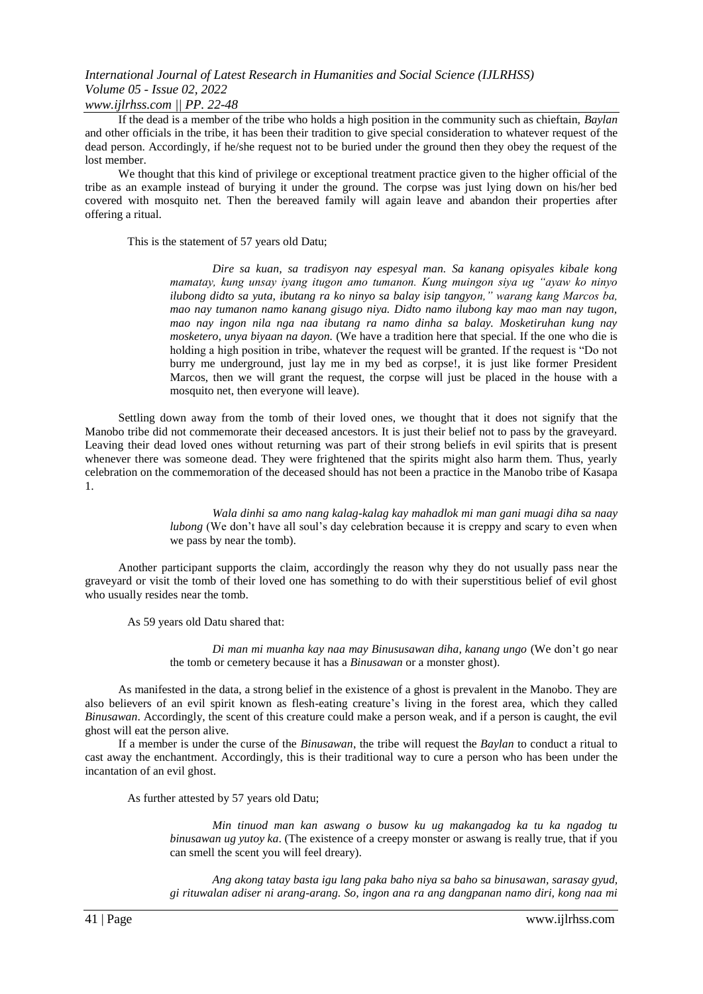*www.ijlrhss.com || PP. 22-48*

If the dead is a member of the tribe who holds a high position in the community such as chieftain, *Baylan* and other officials in the tribe, it has been their tradition to give special consideration to whatever request of the dead person. Accordingly, if he/she request not to be buried under the ground then they obey the request of the lost member.

We thought that this kind of privilege or exceptional treatment practice given to the higher official of the tribe as an example instead of burying it under the ground. The corpse was just lying down on his/her bed covered with mosquito net. Then the bereaved family will again leave and abandon their properties after offering a ritual.

This is the statement of 57 years old Datu;

*Dire sa kuan, sa tradisyon nay espesyal man. Sa kanang opisyales kibale kong mamatay, kung unsay iyang itugon amo tumanon. Kung muingon siya ug "ayaw ko ninyo ilubong didto sa yuta, ibutang ra ko ninyo sa balay isip tangyon," warang kang Marcos ba, mao nay tumanon namo kanang gisugo niya. Didto namo ilubong kay mao man nay tugon, mao nay ingon nila nga naa ibutang ra namo dinha sa balay. Mosketiruhan kung nay mosketero, unya biyaan na dayon.* (We have a tradition here that special. If the one who die is holding a high position in tribe, whatever the request will be granted. If the request is "Do not burry me underground, just lay me in my bed as corpse!, it is just like former President Marcos, then we will grant the request, the corpse will just be placed in the house with a mosquito net, then everyone will leave).

Settling down away from the tomb of their loved ones, we thought that it does not signify that the Manobo tribe did not commemorate their deceased ancestors. It is just their belief not to pass by the graveyard. Leaving their dead loved ones without returning was part of their strong beliefs in evil spirits that is present whenever there was someone dead. They were frightened that the spirits might also harm them. Thus, yearly celebration on the commemoration of the deceased should has not been a practice in the Manobo tribe of Kasapa 1.

> *Wala dinhi sa amo nang kalag-kalag kay mahadlok mi man gani muagi diha sa naay lubong* (We don't have all soul's day celebration because it is creppy and scary to even when we pass by near the tomb).

Another participant supports the claim, accordingly the reason why they do not usually pass near the graveyard or visit the tomb of their loved one has something to do with their superstitious belief of evil ghost who usually resides near the tomb.

As 59 years old Datu shared that:

*Di man mi muanha kay naa may Binususawan diha, kanang ungo* (We don't go near the tomb or cemetery because it has a *Binusawan* or a monster ghost).

As manifested in the data, a strong belief in the existence of a ghost is prevalent in the Manobo. They are also believers of an evil spirit known as flesh-eating creature's living in the forest area, which they called *Binusawan*. Accordingly, the scent of this creature could make a person weak, and if a person is caught, the evil ghost will eat the person alive.

If a member is under the curse of the *Binusawan*, the tribe will request the *Baylan* to conduct a ritual to cast away the enchantment. Accordingly, this is their traditional way to cure a person who has been under the incantation of an evil ghost.

As further attested by 57 years old Datu;

*Min tinuod man kan aswang o busow ku ug makangadog ka tu ka ngadog tu binusawan ug yutoy ka*. (The existence of a creepy monster or aswang is really true, that if you can smell the scent you will feel dreary).

*Ang akong tatay basta igu lang paka baho niya sa baho sa binusawan, sarasay gyud, gi rituwalan adiser ni arang-arang. So, ingon ana ra ang dangpanan namo diri, kong naa mi*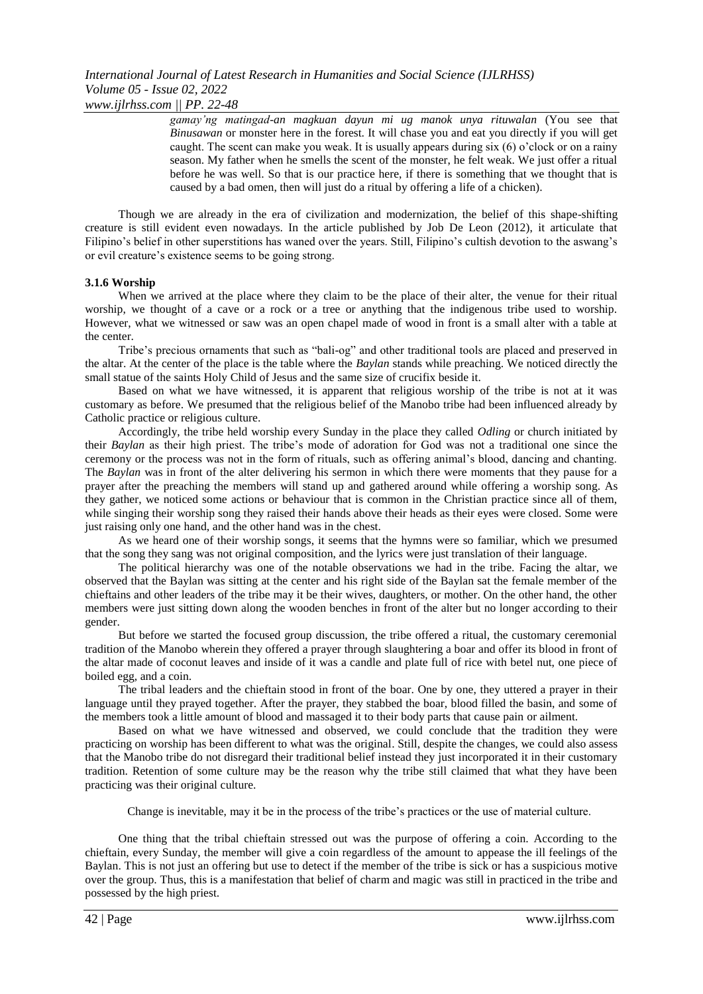*gamay'ng matingad-an magkuan dayun mi ug manok unya rituwalan* (You see that *Binusawan* or monster here in the forest. It will chase you and eat you directly if you will get caught. The scent can make you weak. It is usually appears during six (6) o'clock or on a rainy season. My father when he smells the scent of the monster, he felt weak. We just offer a ritual before he was well. So that is our practice here, if there is something that we thought that is caused by a bad omen, then will just do a ritual by offering a life of a chicken).

Though we are already in the era of civilization and modernization, the belief of this shape-shifting creature is still evident even nowadays. In the article published by Job De Leon (2012), it articulate that Filipino's belief in other superstitions has waned over the years. Still, Filipino's cultish devotion to the aswang's or evil creature's existence seems to be going strong.

### **3.1.6 Worship**

When we arrived at the place where they claim to be the place of their alter, the venue for their ritual worship, we thought of a cave or a rock or a tree or anything that the indigenous tribe used to worship. However, what we witnessed or saw was an open chapel made of wood in front is a small alter with a table at the center.

Tribe's precious ornaments that such as "bali-og" and other traditional tools are placed and preserved in the altar. At the center of the place is the table where the *Baylan* stands while preaching. We noticed directly the small statue of the saints Holy Child of Jesus and the same size of crucifix beside it.

Based on what we have witnessed, it is apparent that religious worship of the tribe is not at it was customary as before. We presumed that the religious belief of the Manobo tribe had been influenced already by Catholic practice or religious culture.

Accordingly, the tribe held worship every Sunday in the place they called *Odling* or church initiated by their *Baylan* as their high priest. The tribe's mode of adoration for God was not a traditional one since the ceremony or the process was not in the form of rituals, such as offering animal's blood, dancing and chanting. The *Baylan* was in front of the alter delivering his sermon in which there were moments that they pause for a prayer after the preaching the members will stand up and gathered around while offering a worship song. As they gather, we noticed some actions or behaviour that is common in the Christian practice since all of them, while singing their worship song they raised their hands above their heads as their eyes were closed. Some were just raising only one hand, and the other hand was in the chest.

As we heard one of their worship songs, it seems that the hymns were so familiar, which we presumed that the song they sang was not original composition, and the lyrics were just translation of their language.

The political hierarchy was one of the notable observations we had in the tribe. Facing the altar, we observed that the Baylan was sitting at the center and his right side of the Baylan sat the female member of the chieftains and other leaders of the tribe may it be their wives, daughters, or mother. On the other hand, the other members were just sitting down along the wooden benches in front of the alter but no longer according to their gender.

But before we started the focused group discussion, the tribe offered a ritual, the customary ceremonial tradition of the Manobo wherein they offered a prayer through slaughtering a boar and offer its blood in front of the altar made of coconut leaves and inside of it was a candle and plate full of rice with betel nut, one piece of boiled egg, and a coin.

The tribal leaders and the chieftain stood in front of the boar. One by one, they uttered a prayer in their language until they prayed together. After the prayer, they stabbed the boar, blood filled the basin, and some of the members took a little amount of blood and massaged it to their body parts that cause pain or ailment.

Based on what we have witnessed and observed, we could conclude that the tradition they were practicing on worship has been different to what was the original. Still, despite the changes, we could also assess that the Manobo tribe do not disregard their traditional belief instead they just incorporated it in their customary tradition. Retention of some culture may be the reason why the tribe still claimed that what they have been practicing was their original culture.

Change is inevitable, may it be in the process of the tribe's practices or the use of material culture.

One thing that the tribal chieftain stressed out was the purpose of offering a coin. According to the chieftain, every Sunday, the member will give a coin regardless of the amount to appease the ill feelings of the Baylan. This is not just an offering but use to detect if the member of the tribe is sick or has a suspicious motive over the group. Thus, this is a manifestation that belief of charm and magic was still in practiced in the tribe and possessed by the high priest.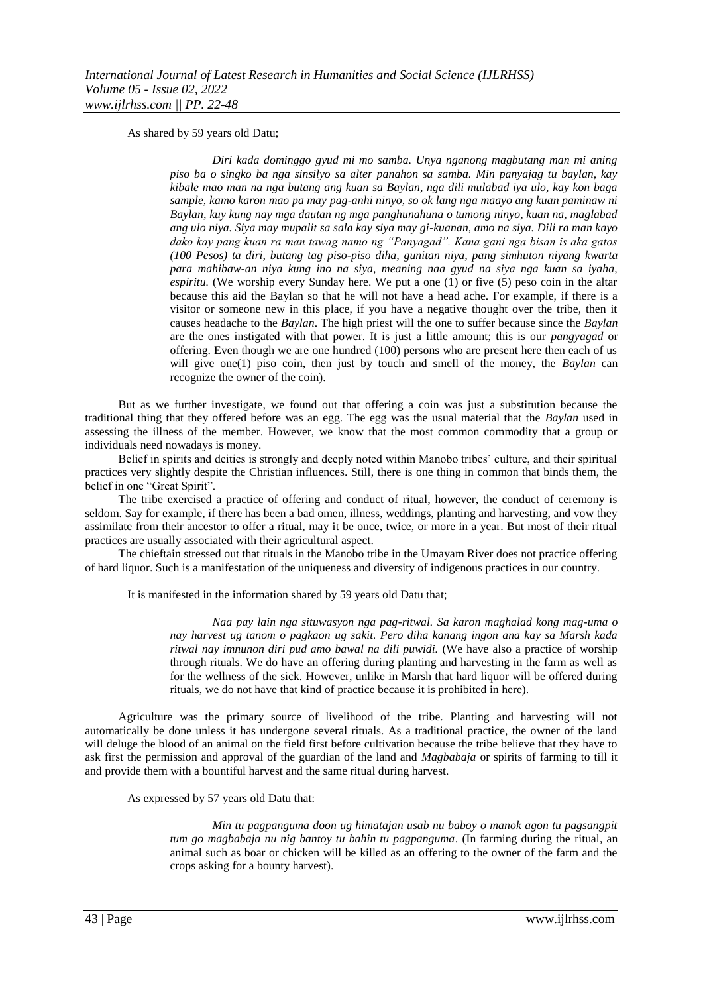As shared by 59 years old Datu;

*Diri kada dominggo gyud mi mo samba. Unya nganong magbutang man mi aning piso ba o singko ba nga sinsilyo sa alter panahon sa samba. Min panyajag tu baylan, kay kibale mao man na nga butang ang kuan sa Baylan, nga dili mulabad iya ulo, kay kon baga sample, kamo karon mao pa may pag-anhi ninyo, so ok lang nga maayo ang kuan paminaw ni Baylan, kuy kung nay mga dautan ng mga panghunahuna o tumong ninyo, kuan na, maglabad ang ulo niya. Siya may mupalit sa sala kay siya may gi-kuanan, amo na siya. Dili ra man kayo dako kay pang kuan ra man tawag namo ng "Panyagad". Kana gani nga bisan is aka gatos (100 Pesos) ta diri, butang tag piso-piso diha, gunitan niya, pang simhuton niyang kwarta para mahibaw-an niya kung ino na siya, meaning naa gyud na siya nga kuan sa iyaha, espiritu.* (We worship every Sunday here. We put a one (1) or five (5) peso coin in the altar because this aid the Baylan so that he will not have a head ache. For example, if there is a visitor or someone new in this place, if you have a negative thought over the tribe, then it causes headache to the *Baylan*. The high priest will the one to suffer because since the *Baylan* are the ones instigated with that power. It is just a little amount; this is our *pangyagad* or offering. Even though we are one hundred (100) persons who are present here then each of us will give one(1) piso coin, then just by touch and smell of the money, the *Baylan* can recognize the owner of the coin).

But as we further investigate, we found out that offering a coin was just a substitution because the traditional thing that they offered before was an egg. The egg was the usual material that the *Baylan* used in assessing the illness of the member. However, we know that the most common commodity that a group or individuals need nowadays is money.

Belief in spirits and deities is strongly and deeply noted within Manobo tribes' culture, and their spiritual practices very slightly despite the Christian influences. Still, there is one thing in common that binds them, the belief in one "Great Spirit".

The tribe exercised a practice of offering and conduct of ritual, however, the conduct of ceremony is seldom. Say for example, if there has been a bad omen, illness, weddings, planting and harvesting, and vow they assimilate from their ancestor to offer a ritual, may it be once, twice, or more in a year. But most of their ritual practices are usually associated with their agricultural aspect.

The chieftain stressed out that rituals in the Manobo tribe in the Umayam River does not practice offering of hard liquor. Such is a manifestation of the uniqueness and diversity of indigenous practices in our country.

It is manifested in the information shared by 59 years old Datu that;

*Naa pay lain nga situwasyon nga pag-ritwal. Sa karon maghalad kong mag-uma o nay harvest ug tanom o pagkaon ug sakit. Pero diha kanang ingon ana kay sa Marsh kada ritwal nay imnunon diri pud amo bawal na dili puwidi.* (We have also a practice of worship through rituals. We do have an offering during planting and harvesting in the farm as well as for the wellness of the sick. However, unlike in Marsh that hard liquor will be offered during rituals, we do not have that kind of practice because it is prohibited in here).

Agriculture was the primary source of livelihood of the tribe. Planting and harvesting will not automatically be done unless it has undergone several rituals. As a traditional practice, the owner of the land will deluge the blood of an animal on the field first before cultivation because the tribe believe that they have to ask first the permission and approval of the guardian of the land and *Magbabaja* or spirits of farming to till it and provide them with a bountiful harvest and the same ritual during harvest.

As expressed by 57 years old Datu that:

*Min tu pagpanguma doon ug himatajan usab nu baboy o manok agon tu pagsangpit tum go magbabaja nu nig bantoy tu bahin tu pagpanguma*. (In farming during the ritual, an animal such as boar or chicken will be killed as an offering to the owner of the farm and the crops asking for a bounty harvest).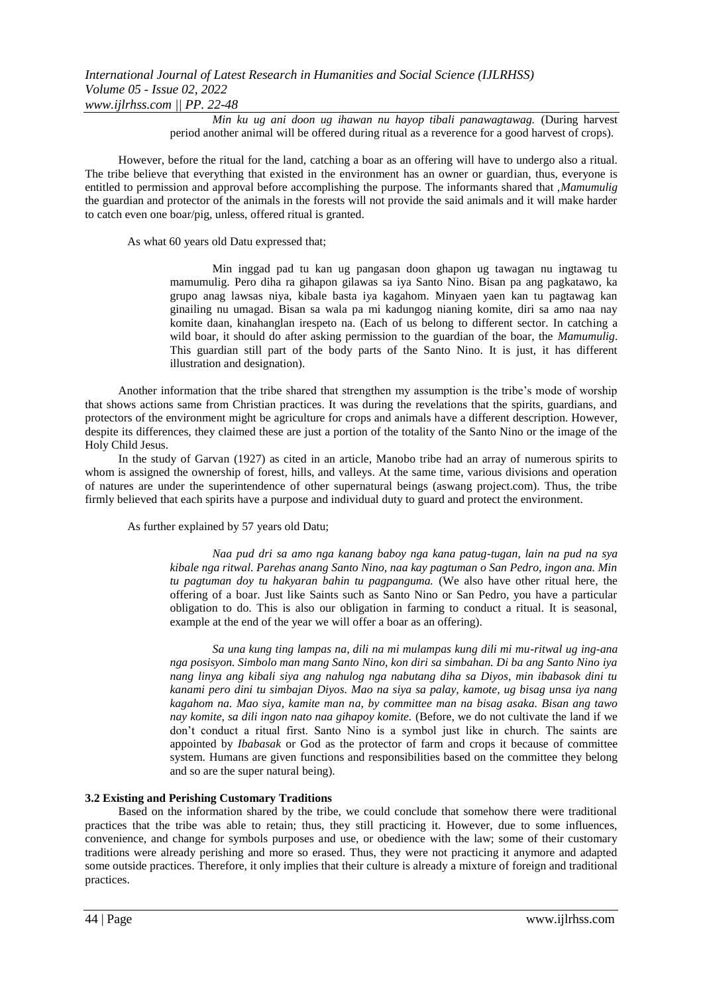*Min ku ug ani doon ug ihawan nu hayop tibali panawagtawag.* (During harvest period another animal will be offered during ritual as a reverence for a good harvest of crops).

However, before the ritual for the land, catching a boar as an offering will have to undergo also a ritual. The tribe believe that everything that existed in the environment has an owner or guardian, thus, everyone is entitled to permission and approval before accomplishing the purpose. The informants shared that ,*Mamumulig* the guardian and protector of the animals in the forests will not provide the said animals and it will make harder to catch even one boar/pig, unless, offered ritual is granted.

As what 60 years old Datu expressed that;

Min inggad pad tu kan ug pangasan doon ghapon ug tawagan nu ingtawag tu mamumulig. Pero diha ra gihapon gilawas sa iya Santo Nino. Bisan pa ang pagkatawo, ka grupo anag lawsas niya, kibale basta iya kagahom. Minyaen yaen kan tu pagtawag kan ginailing nu umagad. Bisan sa wala pa mi kadungog nianing komite, diri sa amo naa nay komite daan, kinahanglan irespeto na. (Each of us belong to different sector. In catching a wild boar, it should do after asking permission to the guardian of the boar, the *Mamumulig*. This guardian still part of the body parts of the Santo Nino. It is just, it has different illustration and designation).

Another information that the tribe shared that strengthen my assumption is the tribe's mode of worship that shows actions same from Christian practices. It was during the revelations that the spirits, guardians, and protectors of the environment might be agriculture for crops and animals have a different description. However, despite its differences, they claimed these are just a portion of the totality of the Santo Nino or the image of the Holy Child Jesus.

In the study of Garvan (1927) as cited in an article, Manobo tribe had an array of numerous spirits to whom is assigned the ownership of forest, hills, and valleys. At the same time, various divisions and operation of natures are under the superintendence of other supernatural beings (aswang project.com). Thus, the tribe firmly believed that each spirits have a purpose and individual duty to guard and protect the environment.

As further explained by 57 years old Datu;

*Naa pud dri sa amo nga kanang baboy nga kana patug-tugan, lain na pud na sya kibale nga ritwal. Parehas anang Santo Nino, naa kay pagtuman o San Pedro, ingon ana. Min tu pagtuman doy tu hakyaran bahin tu pagpanguma.* (We also have other ritual here, the offering of a boar. Just like Saints such as Santo Nino or San Pedro, you have a particular obligation to do. This is also our obligation in farming to conduct a ritual. It is seasonal, example at the end of the year we will offer a boar as an offering).

*Sa una kung ting lampas na, dili na mi mulampas kung dili mi mu-ritwal ug ing-ana nga posisyon. Simbolo man mang Santo Nino, kon diri sa simbahan. Di ba ang Santo Nino iya nang linya ang kibali siya ang nahulog nga nabutang diha sa Diyos, min ibabasok dini tu kanami pero dini tu simbajan Diyos. Mao na siya sa palay, kamote, ug bisag unsa iya nang kagahom na. Mao siya, kamite man na, by committee man na bisag asaka. Bisan ang tawo nay komite, sa dili ingon nato naa gihapoy komite.* (Before, we do not cultivate the land if we don't conduct a ritual first. Santo Nino is a symbol just like in church. The saints are appointed by *Ibabasak* or God as the protector of farm and crops it because of committee system. Humans are given functions and responsibilities based on the committee they belong and so are the super natural being).

### **3.2 Existing and Perishing Customary Traditions**

Based on the information shared by the tribe, we could conclude that somehow there were traditional practices that the tribe was able to retain; thus, they still practicing it. However, due to some influences, convenience, and change for symbols purposes and use, or obedience with the law; some of their customary traditions were already perishing and more so erased. Thus, they were not practicing it anymore and adapted some outside practices. Therefore, it only implies that their culture is already a mixture of foreign and traditional practices.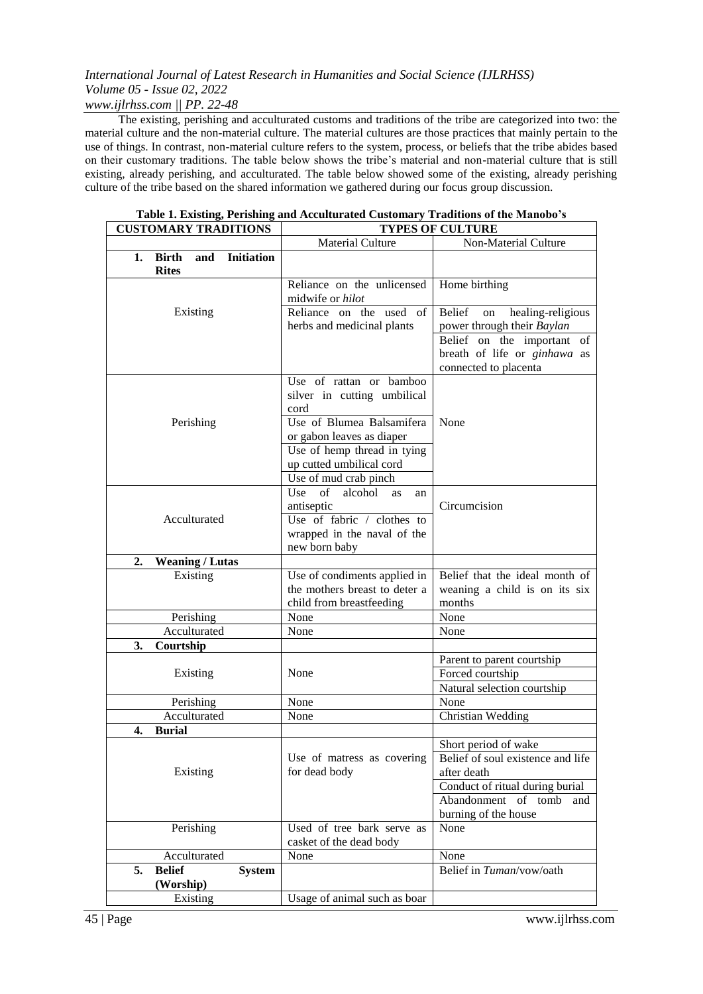### *www.ijlrhss.com || PP. 22-48*

The existing, perishing and acculturated customs and traditions of the tribe are categorized into two: the material culture and the non-material culture. The material cultures are those practices that mainly pertain to the use of things. In contrast, non-material culture refers to the system, process, or beliefs that the tribe abides based on their customary traditions. The table below shows the tribe's material and non-material culture that is still existing, already perishing, and acculturated. The table below showed some of the existing, already perishing culture of the tribe based on the shared information we gathered during our focus group discussion.

## **Table 1. Existing, Perishing and Acculturated Customary Traditions of the Manobo's**

| <b>CUSTOMARY TRADITIONS</b>                                    | <b>TYPES OF CULTURE</b>                                                                                                             |                                                                                                                                                                   |
|----------------------------------------------------------------|-------------------------------------------------------------------------------------------------------------------------------------|-------------------------------------------------------------------------------------------------------------------------------------------------------------------|
|                                                                | <b>Material Culture</b>                                                                                                             | Non-Material Culture                                                                                                                                              |
| <b>Initiation</b><br><b>Birth</b><br>and<br>1.<br><b>Rites</b> |                                                                                                                                     |                                                                                                                                                                   |
|                                                                | Reliance on the unlicensed<br>midwife or hilot                                                                                      | Home birthing                                                                                                                                                     |
| Existing                                                       | Reliance on the used of<br>herbs and medicinal plants                                                                               | <b>Belief</b><br>healing-religious<br>on<br>power through their Baylan<br>Belief on the important of<br>breath of life or ginhawa as<br>connected to placenta     |
| Perishing                                                      | Use of rattan or bamboo<br>silver in cutting umbilical<br>cord<br>Use of Blumea Balsamifera<br>or gabon leaves as diaper            | None                                                                                                                                                              |
|                                                                | Use of hemp thread in tying<br>up cutted umbilical cord<br>Use of mud crab pinch                                                    |                                                                                                                                                                   |
| Acculturated                                                   | of<br>Use<br>alcohol<br><b>as</b><br>an<br>antiseptic<br>Use of fabric / clothes to<br>wrapped in the naval of the<br>new born baby | Circumcision                                                                                                                                                      |
| 2.<br><b>Weaning / Lutas</b>                                   |                                                                                                                                     |                                                                                                                                                                   |
| Existing                                                       | Use of condiments applied in<br>the mothers breast to deter a<br>child from breastfeeding                                           | Belief that the ideal month of<br>weaning a child is on its six<br>months                                                                                         |
| Perishing                                                      | None                                                                                                                                | None                                                                                                                                                              |
| Acculturated                                                   | None                                                                                                                                | None                                                                                                                                                              |
| Courtship<br>3.                                                |                                                                                                                                     |                                                                                                                                                                   |
| Existing                                                       | None                                                                                                                                | Parent to parent courtship<br>Forced courtship<br>Natural selection courtship                                                                                     |
| Perishing                                                      | None                                                                                                                                | None                                                                                                                                                              |
| Acculturated                                                   | None                                                                                                                                | Christian Wedding                                                                                                                                                 |
| <b>Burial</b><br>4.                                            |                                                                                                                                     |                                                                                                                                                                   |
| Existing                                                       | Use of matress as covering<br>for dead body                                                                                         | Short period of wake<br>Belief of soul existence and life<br>after death<br>Conduct of ritual during burial<br>Abandonment of tomb<br>and<br>burning of the house |
| Perishing                                                      | Used of tree bark serve as<br>casket of the dead body                                                                               | None                                                                                                                                                              |
| Acculturated                                                   | None                                                                                                                                | None                                                                                                                                                              |
| 5.<br><b>Belief</b><br><b>System</b>                           |                                                                                                                                     | Belief in Tuman/vow/oath                                                                                                                                          |
| (Worship)                                                      |                                                                                                                                     |                                                                                                                                                                   |
| Existing                                                       | Usage of animal such as boar                                                                                                        |                                                                                                                                                                   |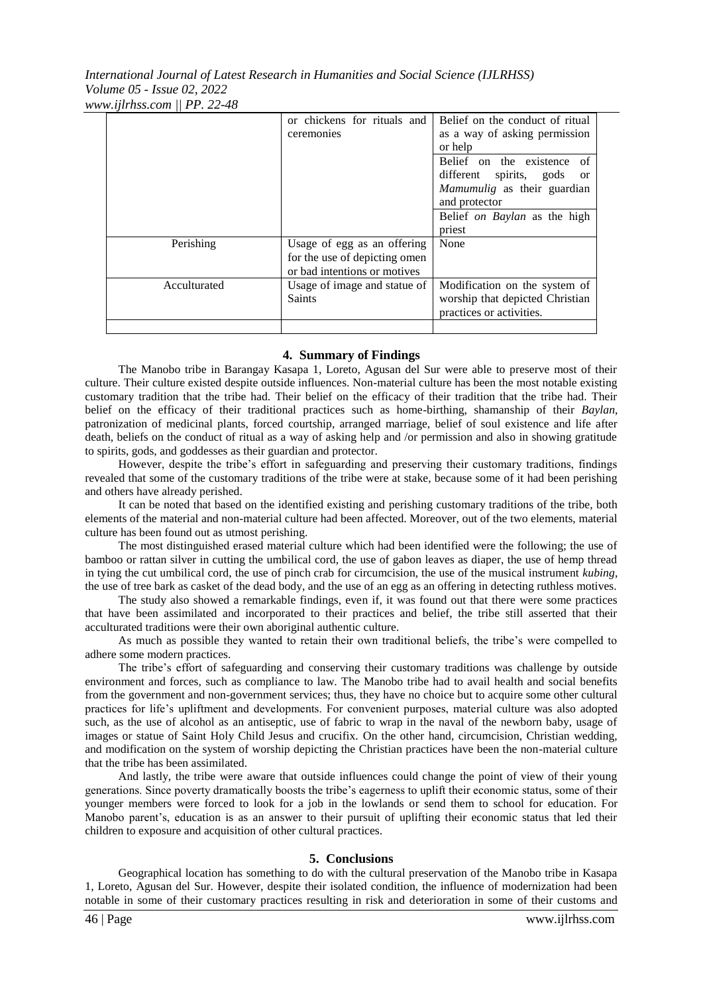*International Journal of Latest Research in Humanities and Social Science (IJLRHSS) Volume 05 - Issue 02, 2022 www.ijlrhss.com || PP. 22-48*

|              | or chickens for rituals and   | Belief on the conduct of ritual          |
|--------------|-------------------------------|------------------------------------------|
|              | ceremonies                    | as a way of asking permission            |
|              |                               | or help                                  |
|              |                               | Belief on the existence of               |
|              |                               | different spirits, gods<br><sub>or</sub> |
|              |                               | Mamumulig as their guardian              |
|              |                               | and protector                            |
|              |                               | Belief on Baylan as the high             |
|              |                               | priest                                   |
| Perishing    | Usage of egg as an offering   | None                                     |
|              | for the use of depicting omen |                                          |
|              | or bad intentions or motives  |                                          |
| Acculturated | Usage of image and statue of  | Modification on the system of            |
|              | <b>Saints</b>                 | worship that depicted Christian          |
|              |                               | practices or activities.                 |
|              |                               |                                          |

### **4. Summary of Findings**

The Manobo tribe in Barangay Kasapa 1, Loreto, Agusan del Sur were able to preserve most of their culture. Their culture existed despite outside influences. Non-material culture has been the most notable existing customary tradition that the tribe had. Their belief on the efficacy of their tradition that the tribe had. Their belief on the efficacy of their traditional practices such as home-birthing, shamanship of their *Baylan*, patronization of medicinal plants, forced courtship, arranged marriage, belief of soul existence and life after death, beliefs on the conduct of ritual as a way of asking help and /or permission and also in showing gratitude to spirits, gods, and goddesses as their guardian and protector.

However, despite the tribe's effort in safeguarding and preserving their customary traditions, findings revealed that some of the customary traditions of the tribe were at stake, because some of it had been perishing and others have already perished.

It can be noted that based on the identified existing and perishing customary traditions of the tribe, both elements of the material and non-material culture had been affected. Moreover, out of the two elements, material culture has been found out as utmost perishing.

The most distinguished erased material culture which had been identified were the following; the use of bamboo or rattan silver in cutting the umbilical cord, the use of gabon leaves as diaper, the use of hemp thread in tying the cut umbilical cord, the use of pinch crab for circumcision, the use of the musical instrument *kubing*, the use of tree bark as casket of the dead body, and the use of an egg as an offering in detecting ruthless motives.

The study also showed a remarkable findings, even if, it was found out that there were some practices that have been assimilated and incorporated to their practices and belief, the tribe still asserted that their acculturated traditions were their own aboriginal authentic culture.

As much as possible they wanted to retain their own traditional beliefs, the tribe's were compelled to adhere some modern practices.

The tribe's effort of safeguarding and conserving their customary traditions was challenge by outside environment and forces, such as compliance to law. The Manobo tribe had to avail health and social benefits from the government and non-government services; thus, they have no choice but to acquire some other cultural practices for life's upliftment and developments. For convenient purposes, material culture was also adopted such, as the use of alcohol as an antiseptic, use of fabric to wrap in the naval of the newborn baby, usage of images or statue of Saint Holy Child Jesus and crucifix. On the other hand, circumcision, Christian wedding, and modification on the system of worship depicting the Christian practices have been the non-material culture that the tribe has been assimilated.

And lastly, the tribe were aware that outside influences could change the point of view of their young generations. Since poverty dramatically boosts the tribe's eagerness to uplift their economic status, some of their younger members were forced to look for a job in the lowlands or send them to school for education. For Manobo parent's, education is as an answer to their pursuit of uplifting their economic status that led their children to exposure and acquisition of other cultural practices.

### **5. Conclusions**

Geographical location has something to do with the cultural preservation of the Manobo tribe in Kasapa 1, Loreto, Agusan del Sur. However, despite their isolated condition, the influence of modernization had been notable in some of their customary practices resulting in risk and deterioration in some of their customs and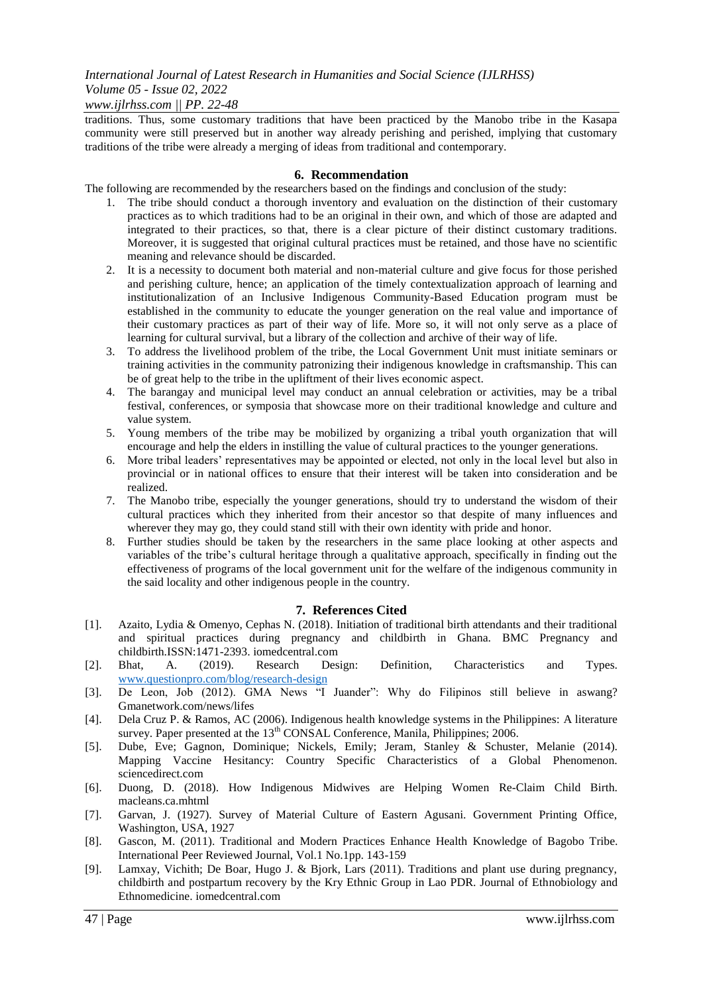### *www.ijlrhss.com || PP. 22-48*

traditions. Thus, some customary traditions that have been practiced by the Manobo tribe in the Kasapa community were still preserved but in another way already perishing and perished, implying that customary traditions of the tribe were already a merging of ideas from traditional and contemporary.

### **6. Recommendation**

The following are recommended by the researchers based on the findings and conclusion of the study:

- 1. The tribe should conduct a thorough inventory and evaluation on the distinction of their customary practices as to which traditions had to be an original in their own, and which of those are adapted and integrated to their practices, so that, there is a clear picture of their distinct customary traditions. Moreover, it is suggested that original cultural practices must be retained, and those have no scientific meaning and relevance should be discarded.
- 2. It is a necessity to document both material and non-material culture and give focus for those perished and perishing culture, hence; an application of the timely contextualization approach of learning and institutionalization of an Inclusive Indigenous Community-Based Education program must be established in the community to educate the younger generation on the real value and importance of their customary practices as part of their way of life. More so, it will not only serve as a place of learning for cultural survival, but a library of the collection and archive of their way of life.
- 3. To address the livelihood problem of the tribe, the Local Government Unit must initiate seminars or training activities in the community patronizing their indigenous knowledge in craftsmanship. This can be of great help to the tribe in the upliftment of their lives economic aspect.
- 4. The barangay and municipal level may conduct an annual celebration or activities, may be a tribal festival, conferences, or symposia that showcase more on their traditional knowledge and culture and value system.
- 5. Young members of the tribe may be mobilized by organizing a tribal youth organization that will encourage and help the elders in instilling the value of cultural practices to the younger generations.
- 6. More tribal leaders' representatives may be appointed or elected, not only in the local level but also in provincial or in national offices to ensure that their interest will be taken into consideration and be realized.
- 7. The Manobo tribe, especially the younger generations, should try to understand the wisdom of their cultural practices which they inherited from their ancestor so that despite of many influences and wherever they may go, they could stand still with their own identity with pride and honor.
- 8. Further studies should be taken by the researchers in the same place looking at other aspects and variables of the tribe's cultural heritage through a qualitative approach, specifically in finding out the effectiveness of programs of the local government unit for the welfare of the indigenous community in the said locality and other indigenous people in the country.

### **7. References Cited**

- [1]. Azaito, Lydia & Omenyo, Cephas N. (2018). Initiation of traditional birth attendants and their traditional and spiritual practices during pregnancy and childbirth in Ghana. BMC Pregnancy and childbirth.ISSN:1471-2393. iomedcentral.com
- [2]. Bhat, A. (2019). Research Design: Definition, Characteristics and Types. [www.questionpro.com/blog/research-design](http://www.questionpro.com/blog/research-design)
- [3]. De Leon, Job (2012). GMA News "I Juander": Why do Filipinos still believe in aswang? Gmanetwork.com/news/lifes
- [4]. Dela Cruz P. & Ramos, AC (2006). Indigenous health knowledge systems in the Philippines: A literature survey. Paper presented at the  $13<sup>th</sup>$  CONSAL Conference, Manila, Philippines; 2006.
- [5]. Dube, Eve; Gagnon, Dominique; Nickels, Emily; Jeram, Stanley & Schuster, Melanie (2014). Mapping Vaccine Hesitancy: Country Specific Characteristics of a Global Phenomenon. sciencedirect.com
- [6]. Duong, D. (2018). How Indigenous Midwives are Helping Women Re-Claim Child Birth. macleans.ca.mhtml
- [7]. Garvan, J. (1927). Survey of Material Culture of Eastern Agusani. Government Printing Office, Washington, USA, 1927
- [8]. Gascon, M. (2011). Traditional and Modern Practices Enhance Health Knowledge of Bagobo Tribe. International Peer Reviewed Journal, Vol.1 No.1pp. 143-159
- [9]. Lamxay, Vichith; De Boar, Hugo J. & Bjork, Lars (2011). Traditions and plant use during pregnancy, childbirth and postpartum recovery by the Kry Ethnic Group in Lao PDR. Journal of Ethnobiology and Ethnomedicine. iomedcentral.com